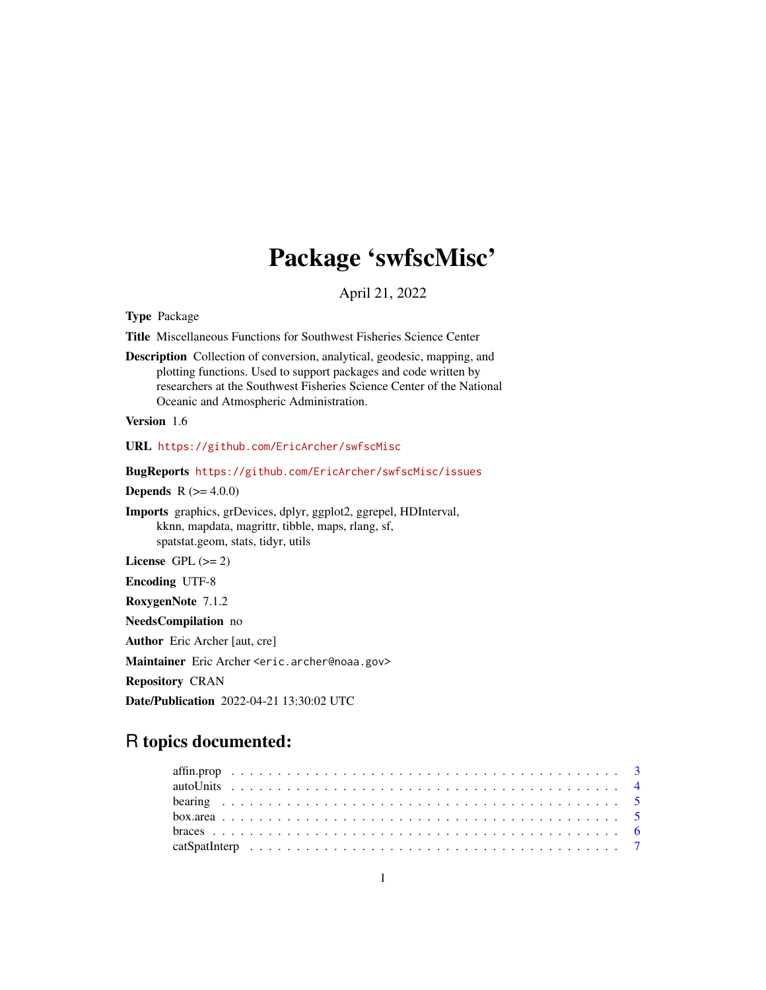## Package 'swfscMisc'

April 21, 2022

<span id="page-0-0"></span>Type Package

Title Miscellaneous Functions for Southwest Fisheries Science Center

Description Collection of conversion, analytical, geodesic, mapping, and plotting functions. Used to support packages and code written by researchers at the Southwest Fisheries Science Center of the National Oceanic and Atmospheric Administration.

Version 1.6

URL <https://github.com/EricArcher/swfscMisc>

BugReports <https://github.com/EricArcher/swfscMisc/issues>

**Depends** R  $(>= 4.0.0)$ 

Imports graphics, grDevices, dplyr, ggplot2, ggrepel, HDInterval, kknn, mapdata, magrittr, tibble, maps, rlang, sf, spatstat.geom, stats, tidyr, utils

License GPL  $(>= 2)$ 

Encoding UTF-8

RoxygenNote 7.1.2

NeedsCompilation no

Author Eric Archer [aut, cre]

Maintainer Eric Archer <eric.archer@noaa.gov>

Repository CRAN

Date/Publication 2022-04-21 13:30:02 UTC

## R topics documented: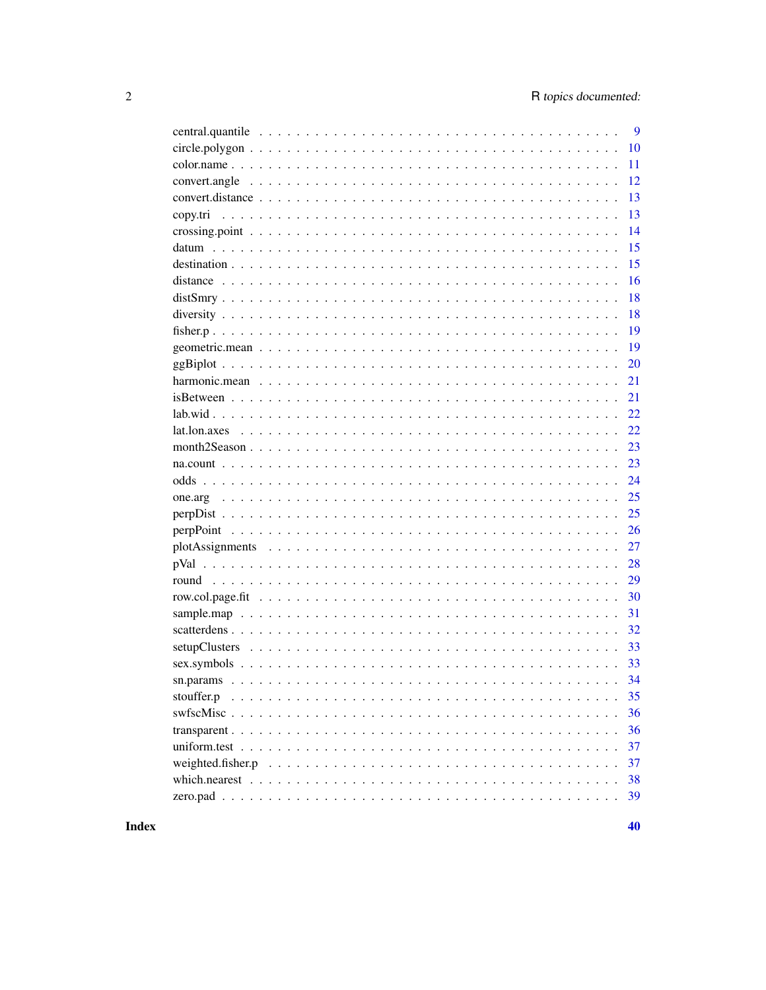|            | 9  |
|------------|----|
|            | 10 |
|            | 11 |
|            | 12 |
|            | 13 |
|            | 13 |
|            | 14 |
|            | 15 |
|            | 15 |
|            | 16 |
|            | 18 |
|            | 18 |
|            | 19 |
|            | 19 |
|            | 20 |
|            | 21 |
|            | 21 |
|            | 22 |
|            | 22 |
|            | 23 |
|            | 23 |
|            | 24 |
|            | 25 |
|            | 25 |
|            | 26 |
|            | 27 |
|            | 28 |
|            | 29 |
|            | 30 |
|            | 31 |
|            | 32 |
|            | 33 |
|            | 33 |
|            |    |
| stouffer.p | 35 |
|            | 36 |
|            | 36 |
|            | 37 |
|            | 37 |
|            | 38 |
|            | 39 |
|            |    |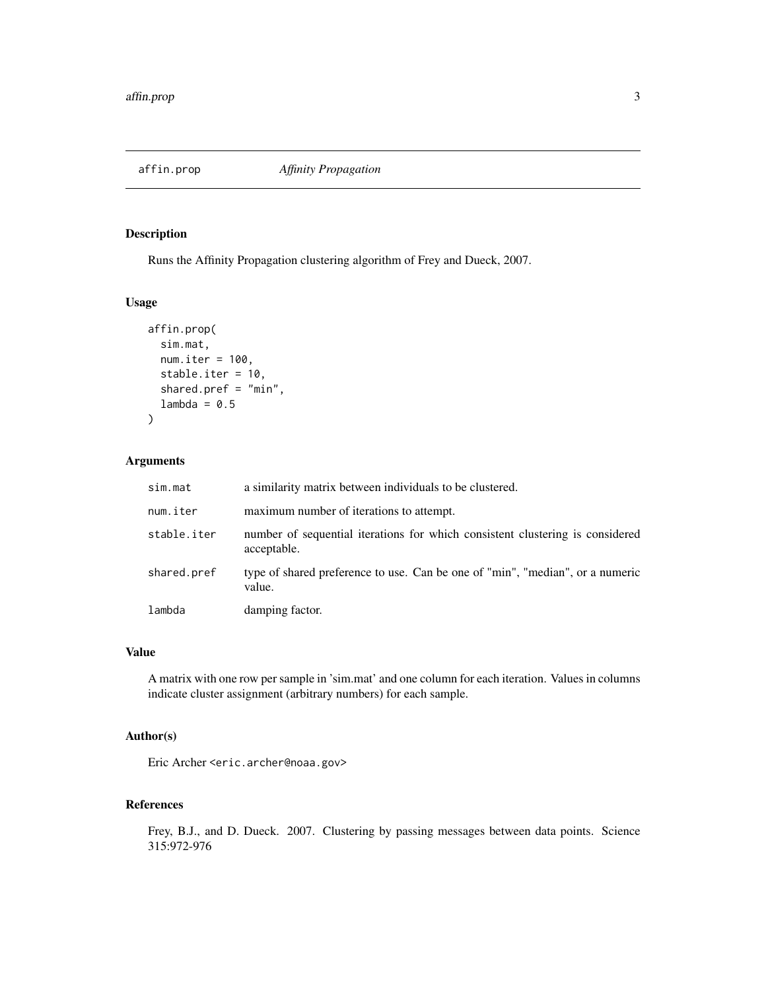<span id="page-2-0"></span>

Runs the Affinity Propagation clustering algorithm of Frey and Dueck, 2007.

## Usage

```
affin.prop(
  sim.mat,
  num.iter = 100,stable.iter = 10,
  shared.pref = "min",
  lambda = 0.5)
```
## Arguments

| sim.mat     | a similarity matrix between individuals to be clustered.                                     |
|-------------|----------------------------------------------------------------------------------------------|
| num.iter    | maximum number of iterations to attempt.                                                     |
| stable.iter | number of sequential iterations for which consistent clustering is considered<br>acceptable. |
| shared.pref | type of shared preference to use. Can be one of "min", "median", or a numeric<br>value.      |
| lambda      | damping factor.                                                                              |

#### Value

A matrix with one row per sample in 'sim.mat' and one column for each iteration. Values in columns indicate cluster assignment (arbitrary numbers) for each sample.

## Author(s)

Eric Archer <eric.archer@noaa.gov>

#### References

Frey, B.J., and D. Dueck. 2007. Clustering by passing messages between data points. Science 315:972-976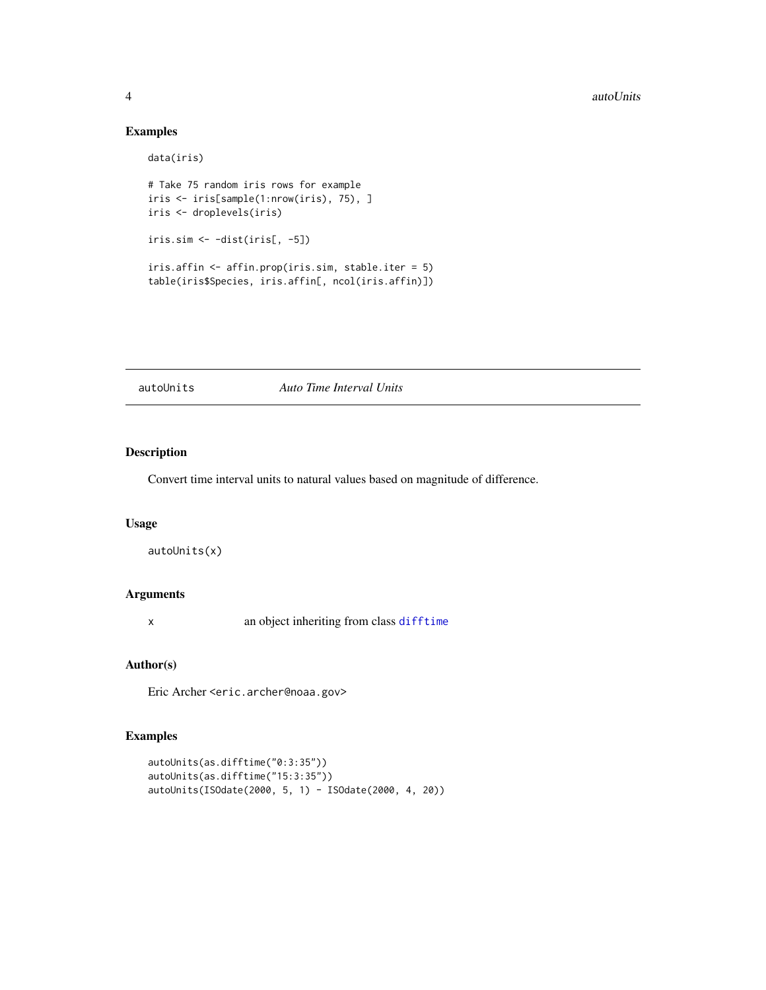## Examples

```
data(iris)
# Take 75 random iris rows for example
iris <- iris[sample(1:nrow(iris), 75), ]
iris <- droplevels(iris)
iris.sim <- -dist(iris[, -5])
iris.affin <- affin.prop(iris.sim, stable.iter = 5)
table(iris$Species, iris.affin[, ncol(iris.affin)])
```
autoUnits *Auto Time Interval Units*

## Description

Convert time interval units to natural values based on magnitude of difference.

#### Usage

autoUnits(x)

#### Arguments

x an object inheriting from class [difftime](#page-0-0)

#### Author(s)

Eric Archer <eric.archer@noaa.gov>

```
autoUnits(as.difftime("0:3:35"))
autoUnits(as.difftime("15:3:35"))
autoUnits(ISOdate(2000, 5, 1) - ISOdate(2000, 4, 20))
```
<span id="page-3-0"></span>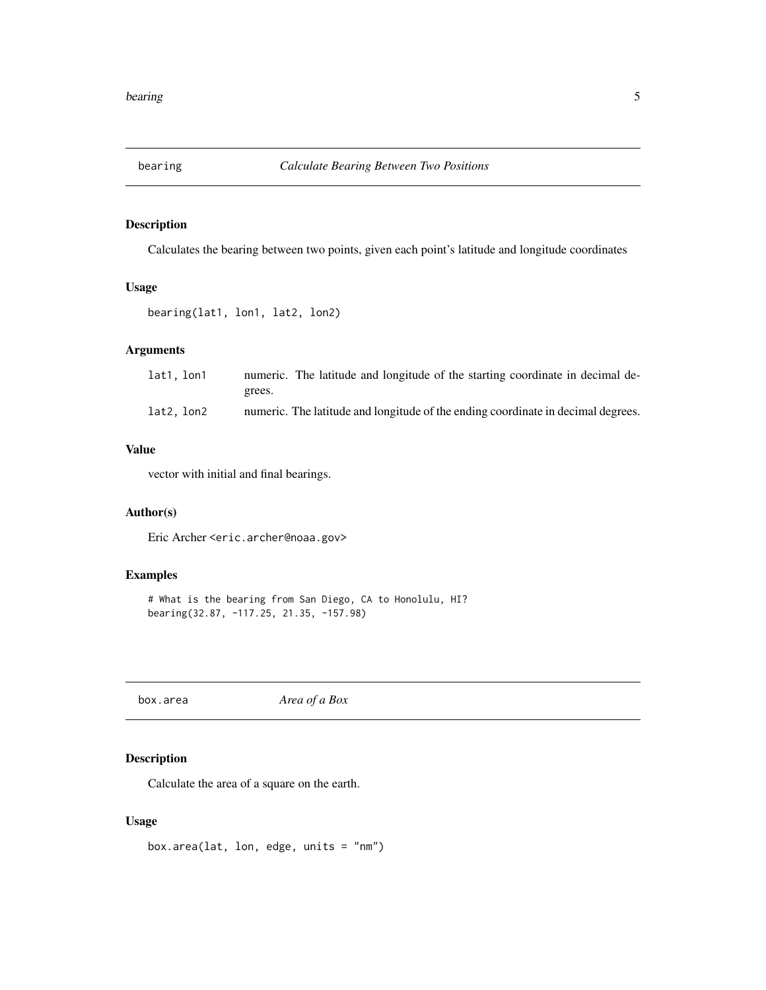<span id="page-4-0"></span>

Calculates the bearing between two points, given each point's latitude and longitude coordinates

## Usage

bearing(lat1, lon1, lat2, lon2)

## Arguments

| lat1, lon1 | numeric. The latitude and longitude of the starting coordinate in decimal de-    |
|------------|----------------------------------------------------------------------------------|
|            | grees.                                                                           |
| lat2, lon2 | numeric. The latitude and longitude of the ending coordinate in decimal degrees. |

#### Value

vector with initial and final bearings.

## Author(s)

Eric Archer <eric.archer@noaa.gov>

## Examples

```
# What is the bearing from San Diego, CA to Honolulu, HI?
bearing(32.87, -117.25, 21.35, -157.98)
```
box.area *Area of a Box*

## Description

Calculate the area of a square on the earth.

## Usage

```
box.area(lat, lon, edge, units = "nm")
```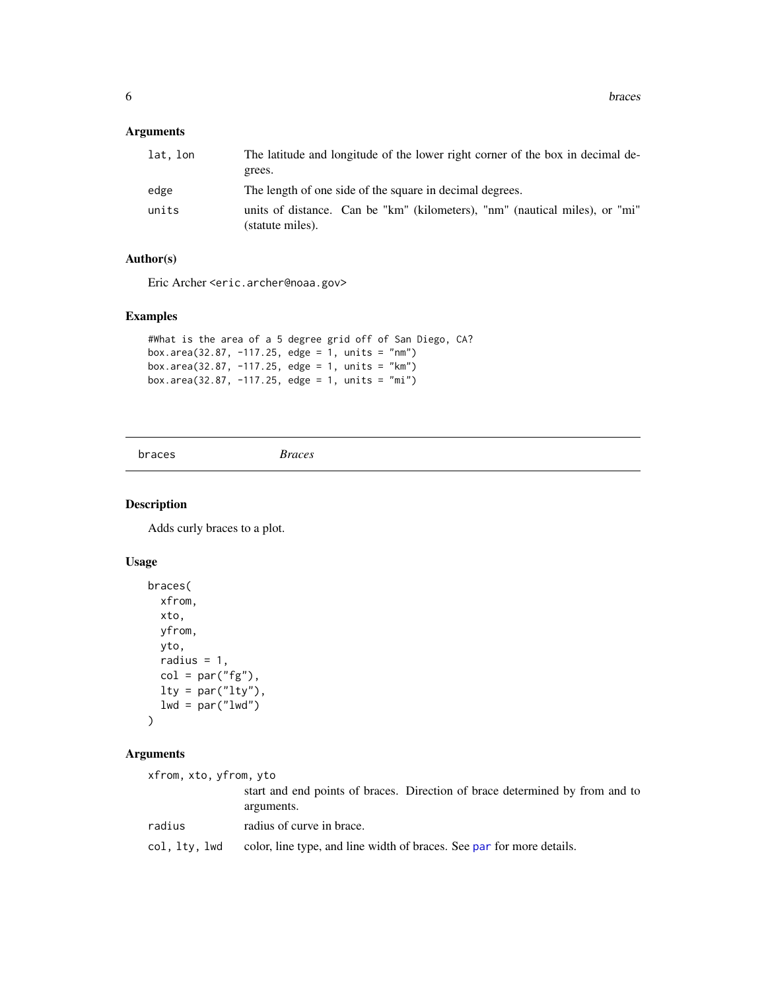## <span id="page-5-0"></span>Arguments

| lat. lon | The latitude and longitude of the lower right corner of the box in decimal de-                  |
|----------|-------------------------------------------------------------------------------------------------|
|          | grees.                                                                                          |
| edge     | The length of one side of the square in decimal degrees.                                        |
| units    | units of distance. Can be "km" (kilometers), "nm" (nautical miles), or "mi"<br>(statute miles). |

## Author(s)

Eric Archer <eric.archer@noaa.gov>

## Examples

```
#What is the area of a 5 degree grid off of San Diego, CA?
box.area(32.87, -117.25, edge = 1, units = "nm")
box.area(32.87, -117.25, edge = 1, units = "km")
box.area(32.87, -117.25, edge = 1, units = "mi")
```

```
braces Braces
```
## Description

Adds curly braces to a plot.

## Usage

```
braces(
 xfrom,
 xto,
 yfrom,
 yto,
 radius = 1,col = par("fg"),lty = par("lty"),
 lwd = par("lwd"))
```
## Arguments

| xfrom, xto, yfrom, yto |                                                                                            |
|------------------------|--------------------------------------------------------------------------------------------|
|                        | start and end points of braces. Direction of brace determined by from and to<br>arguments. |
| radius                 | radius of curve in brace.                                                                  |
| col, lty, lwd          | color, line type, and line width of braces. See par for more details.                      |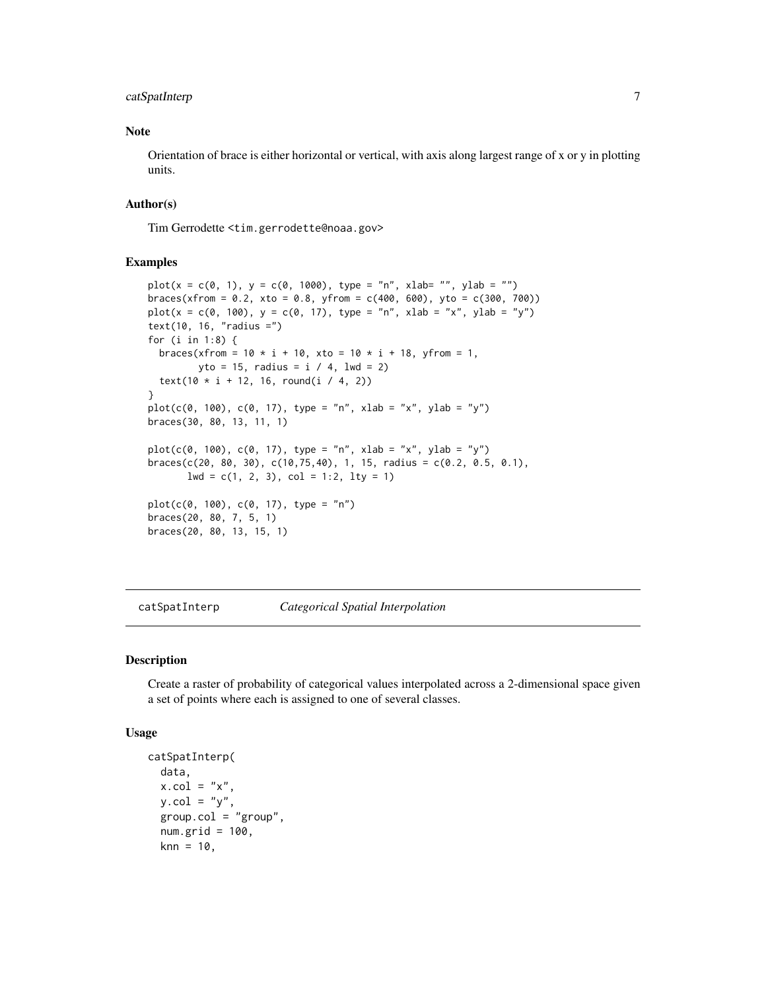## <span id="page-6-0"></span>catSpatInterp 7

## Note

Orientation of brace is either horizontal or vertical, with axis along largest range of x or y in plotting units.

## Author(s)

Tim Gerrodette <tim.gerrodette@noaa.gov>

## Examples

```
plot(x = c(0, 1), y = c(0, 1000), type = "n", xlabel "", ylab = "")braces(xfrom = 0.2, xto = 0.8, yfrom = c(400, 600), yto = c(300, 700))
plot(x = c(0, 100), y = c(0, 17), type = "n", xlab = "x", ylab = "y")text(10, 16, "radius =")
for (i in 1:8) {
  braces(xfrom = 10 * i + 10, xto = 10 * i + 18, yfrom = 1,
        yto = 15, radius = i / 4, lwd = 2)
  text(10 * i + 12, 16, round(i / 4, 2))
}
plot(c(0, 100), c(0, 17), type = "n", xlab = "x", ylab = "y")braces(30, 80, 13, 11, 1)
plot(c(0, 100), c(0, 17), type = "n", xlab = "x", ylab = "y")braces(c(20, 80, 30), c(10, 75, 40), 1, 15, radius = c(0.2, 0.5, 0.1),1wd = c(1, 2, 3), col = 1:2, 1ty = 1)plot(c(0, 100), c(0, 17), type = "n")braces(20, 80, 7, 5, 1)
braces(20, 80, 13, 15, 1)
```
catSpatInterp *Categorical Spatial Interpolation*

## Description

Create a raster of probability of categorical values interpolated across a 2-dimensional space given a set of points where each is assigned to one of several classes.

#### Usage

```
catSpatInterp(
  data,
 x.col = "x".y.col = "y",group.col = "group",
  num.grid = 100,knn = 10,
```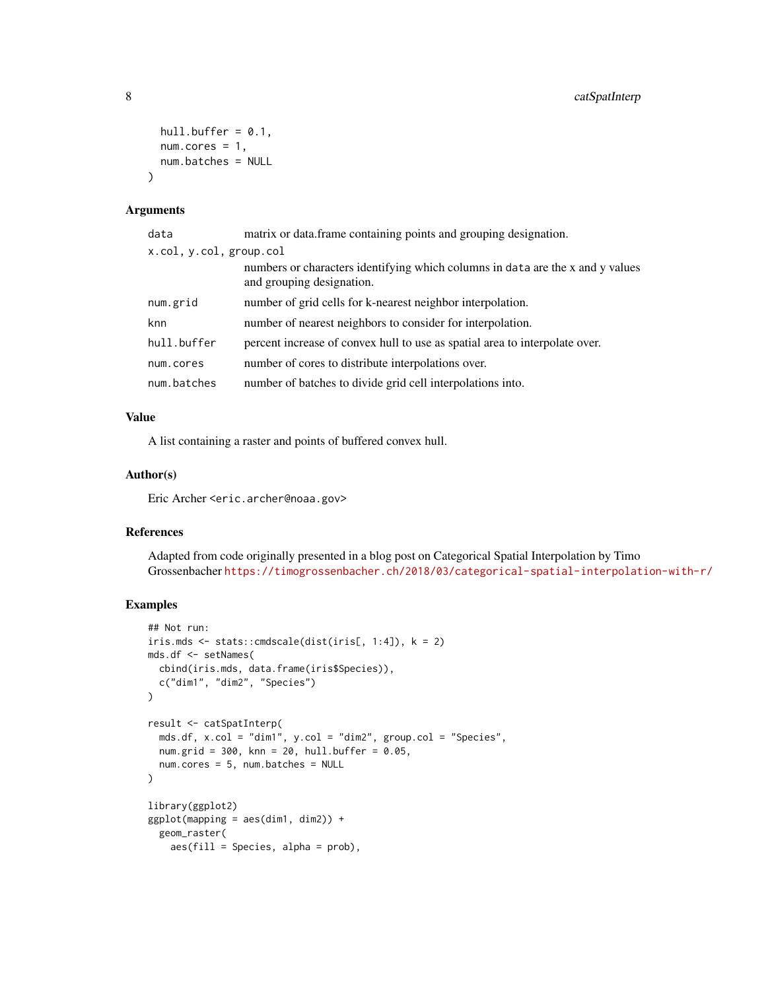```
hull.buffer = 0.1,
  num.cores = 1,
  num.batches = NULL
\lambda
```
#### Arguments

| data                    | matrix or data.frame containing points and grouping designation.                                            |  |
|-------------------------|-------------------------------------------------------------------------------------------------------------|--|
| x.col, y.col, group.col |                                                                                                             |  |
|                         | numbers or characters identifying which columns in data are the x and y values<br>and grouping designation. |  |
| num.grid                | number of grid cells for k-nearest neighbor interpolation.                                                  |  |
| knn                     | number of nearest neighbors to consider for interpolation.                                                  |  |
| hull.buffer             | percent increase of convex hull to use as spatial area to interpolate over.                                 |  |
| num.cores               | number of cores to distribute interpolations over.                                                          |  |
| num.batches             | number of batches to divide grid cell interpolations into.                                                  |  |

## Value

A list containing a raster and points of buffered convex hull.

#### Author(s)

Eric Archer <eric.archer@noaa.gov>

## References

Adapted from code originally presented in a blog post on Categorical Spatial Interpolation by Timo Grossenbacher <https://timogrossenbacher.ch/2018/03/categorical-spatial-interpolation-with-r/>

```
## Not run:
iris.mds <- stats::cmdscale(dist(iris[, 1:4]), k = 2)
mds.df <- setNames(
  cbind(iris.mds, data.frame(iris$Species)),
  c("dim1", "dim2", "Species")
\mathcal{L}result <- catSpatInterp(
  mds.df, x.col = "dim1", y.col = "dim2", group.col = "Species",
  num.grid = 300, knn = 20, hull.buffer = 0.05,
  num.cores = 5, num.batches = NULL
)
library(ggplot2)
ggplot(mapping = aes(dim1, dim2)) +geom_raster(
    aes(fill = Species, alpha = prob),
```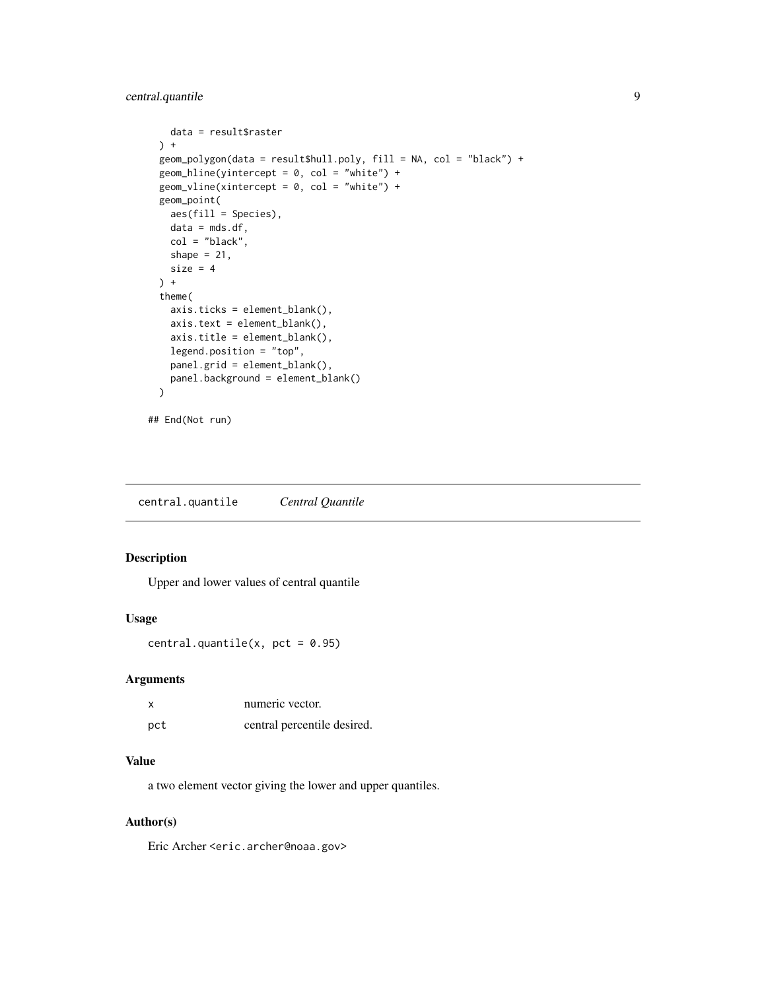```
data = result$raster
 ) +geom_polygon(data = result$hull.poly, fill = NA, col = "black") +
 geom_hline(yintercept = 0, col = "white") +
 geom_vline(xintercept = 0, col = "white") +
 geom_point(
   aes(fill = Species),
   data = mds.df,col = "black",shape = 21,
   size = 4) +
 theme(
   axis.ticks = element_blank(),
   axis.text = element_blank(),
   axis.title = element_blank(),
   legend.position = "top",
   panel.grid = element_blank(),
   panel.background = element_blank()
 )
## End(Not run)
```
central.quantile *Central Quantile*

## Description

Upper and lower values of central quantile

#### Usage

central.quantile(x,  $pct = 0.95$ )

## Arguments

| X   | numeric vector.             |
|-----|-----------------------------|
| pct | central percentile desired. |

#### Value

a two element vector giving the lower and upper quantiles.

#### Author(s)

Eric Archer <eric.archer@noaa.gov>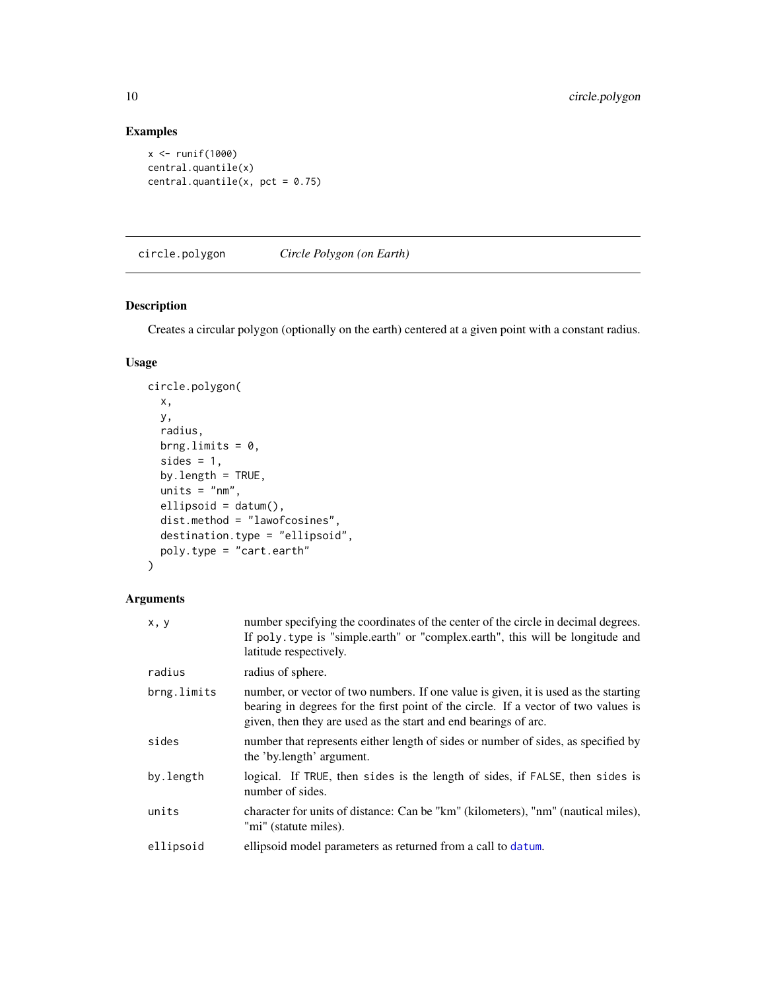## Examples

```
x <- runif(1000)
central.quantile(x)
central.quantile(x, pct = 0.75)
```
circle.polygon *Circle Polygon (on Earth)*

## Description

Creates a circular polygon (optionally on the earth) centered at a given point with a constant radius.

#### Usage

```
circle.polygon(
  x,
 y,
 radius,
 brng.limits = 0,
  sides = 1,
 by.length = TRUE,
 units = "nm",ellipsoid = datum(),
 dist.method = "lawofcosines",
 destination.type = "ellipsoid",
 poly.type = "cart.earth"
\mathcal{L}
```
## Arguments

| x, y        | number specifying the coordinates of the center of the circle in decimal degrees.<br>If poly type is "simple earth" or "complex earth", this will be longitude and<br>latitude respectively.                                                 |
|-------------|----------------------------------------------------------------------------------------------------------------------------------------------------------------------------------------------------------------------------------------------|
| radius      | radius of sphere.                                                                                                                                                                                                                            |
| brng.limits | number, or vector of two numbers. If one value is given, it is used as the starting<br>bearing in degrees for the first point of the circle. If a vector of two values is<br>given, then they are used as the start and end bearings of arc. |
| sides       | number that represents either length of sides or number of sides, as specified by<br>the 'by.length' argument.                                                                                                                               |
| by.length   | logical. If TRUE, then sides is the length of sides, if FALSE, then sides is<br>number of sides.                                                                                                                                             |
| units       | character for units of distance: Can be "km" (kilometers), "nm" (nautical miles),<br>"mi" (statute miles).                                                                                                                                   |
| ellipsoid   | ellipsoid model parameters as returned from a call to datum.                                                                                                                                                                                 |

<span id="page-9-0"></span>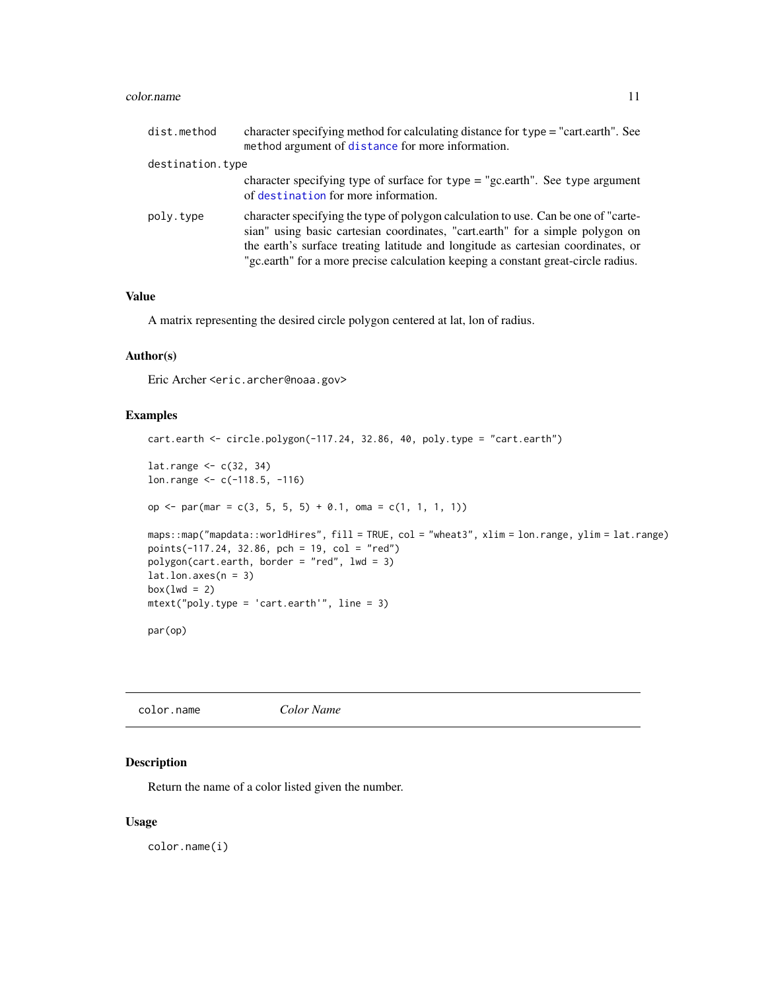#### <span id="page-10-0"></span>color.name and the color of the color name is a set of the color.name is a set of the color name in the color.name is a set of the color of the color name in the color of the color of the color of the color of the color of

| dist.method      | character specifying method for calculating distance for type = "cart.earth". See<br>method argument of distance for more information.                                                                                                                                                                                                       |
|------------------|----------------------------------------------------------------------------------------------------------------------------------------------------------------------------------------------------------------------------------------------------------------------------------------------------------------------------------------------|
| destination.type |                                                                                                                                                                                                                                                                                                                                              |
|                  | character specifying type of surface for type $=$ "gc.earth". See type argument<br>of destination for more information.                                                                                                                                                                                                                      |
| poly.type        | character specifying the type of polygon calculation to use. Can be one of "carte-<br>sian" using basic cartesian coordinates, "cart.earth" for a simple polygon on<br>the earth's surface treating latitude and longitude as cartesian coordinates, or<br>"gc.earth" for a more precise calculation keeping a constant great-circle radius. |

## Value

A matrix representing the desired circle polygon centered at lat, lon of radius.

#### Author(s)

Eric Archer <eric.archer@noaa.gov>

#### Examples

```
cart.earth <- circle.polygon(-117.24, 32.86, 40, poly.type = "cart.earth")
lat.range <- c(32, 34)
lon.range <- c(-118.5, -116)
op \le par(mar = c(3, 5, 5, 5) + 0.1, oma = c(1, 1, 1, 1))
maps::map("mapdata::worldHires", fill = TRUE, col = "wheat3", xlim = lon.range, ylim = lat.range)
points(-117.24, 32.86, pch = 19, col = "red")
polygon(cart.earth, border = "red", lwd = 3)
lat.lon.axes(n = 3)box(lwd = 2)mtext("poly.type = 'cart.earth'", line = 3)
par(op)
```
color.name *Color Name*

## Description

Return the name of a color listed given the number.

#### Usage

color.name(i)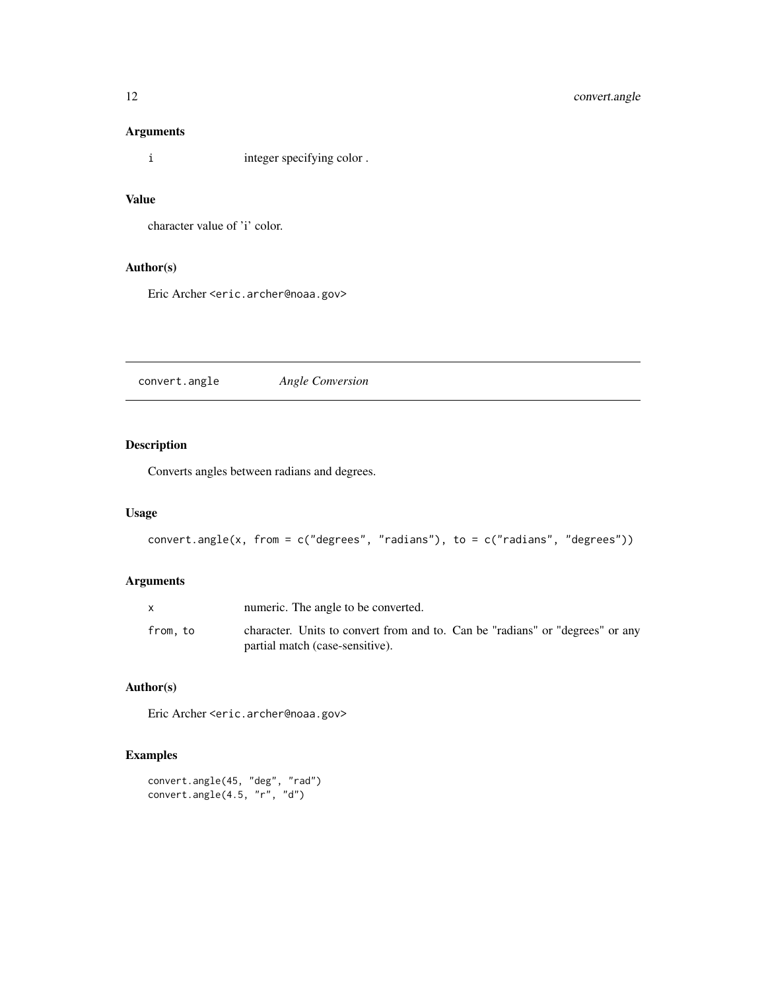## <span id="page-11-0"></span>Arguments

i integer specifying color .

## Value

character value of 'i' color.

## Author(s)

Eric Archer <eric.archer@noaa.gov>

convert.angle *Angle Conversion*

## Description

Converts angles between radians and degrees.

## Usage

```
convert.angle(x, from = c("degrees", "radians"), to = c("radians", "degrees"))
```
## Arguments

|         | numeric. The angle to be converted.                                                                              |
|---------|------------------------------------------------------------------------------------------------------------------|
| from.to | character. Units to convert from and to. Can be "radians" or "degrees" or any<br>partial match (case-sensitive). |

## Author(s)

Eric Archer <eric.archer@noaa.gov>

```
convert.angle(45, "deg", "rad")
convert.angle(4.5, "r", "d")
```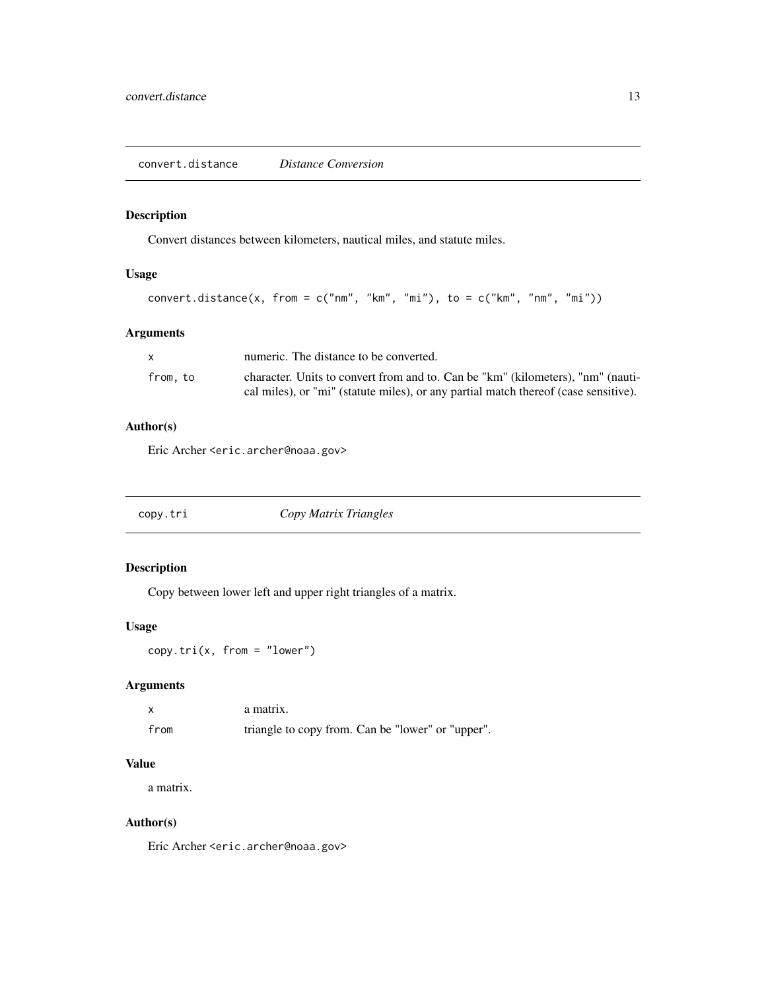<span id="page-12-0"></span>Convert distances between kilometers, nautical miles, and statute miles.

## Usage

```
convert.distance(x, from = c("nm", "km", "mi"), to = c("km", "mm", "mi"))
```
## Arguments

|         | numeric. The distance to be converted.                                              |
|---------|-------------------------------------------------------------------------------------|
| from.to | character. Units to convert from and to. Can be "km" (kilometers), "nm" (nauti-     |
|         | cal miles), or "mi" (statute miles), or any partial match thereof (case sensitive). |

## Author(s)

Eric Archer <eric.archer@noaa.gov>

| copy.tri | Copy Matrix Triangles |  |
|----------|-----------------------|--|
|----------|-----------------------|--|

## Description

Copy between lower left and upper right triangles of a matrix.

#### Usage

 $copy.tri(x, from = "lower")$ 

## Arguments

|      | a matrix.                                         |
|------|---------------------------------------------------|
| from | triangle to copy from. Can be "lower" or "upper". |

## Value

a matrix.

## Author(s)

Eric Archer <eric.archer@noaa.gov>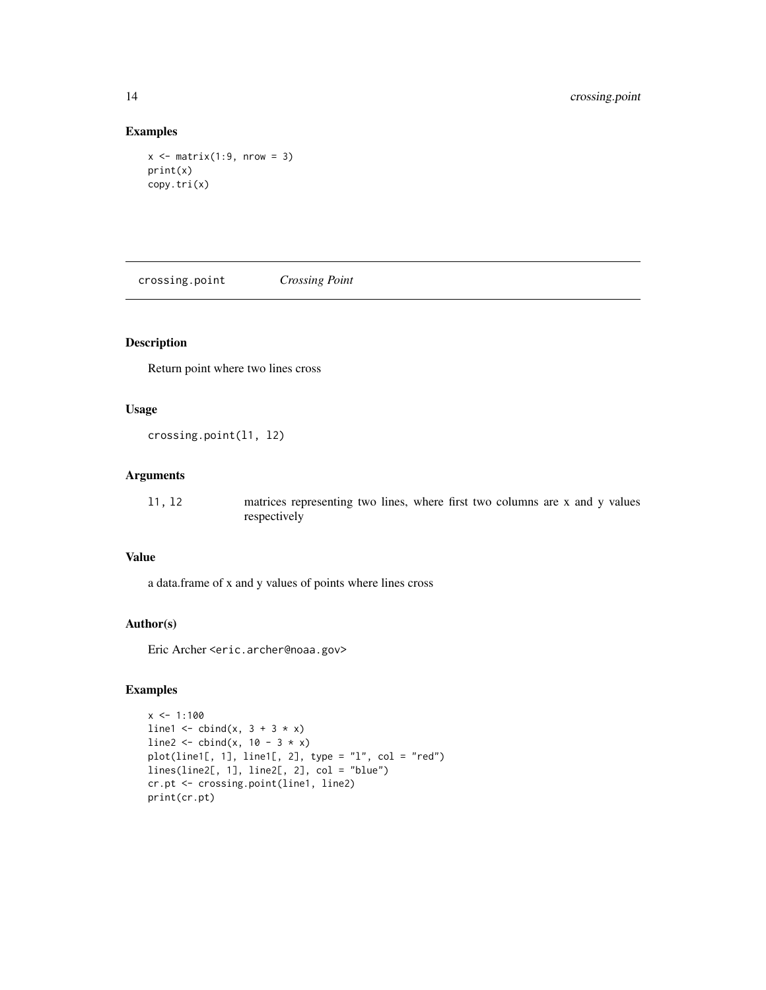## Examples

```
x \leftarrow matrix(1:9, nrow = 3)print(x)
copy.tri(x)
```
crossing.point *Crossing Point*

## Description

Return point where two lines cross

#### Usage

crossing.point(l1, l2)

## Arguments

| 11, 12 | matrices representing two lines, where first two columns are x and y values |
|--------|-----------------------------------------------------------------------------|
|        | respectively                                                                |

#### Value

a data.frame of x and y values of points where lines cross

#### Author(s)

Eric Archer <eric.archer@noaa.gov>

```
x \le -1:100line1 <- cbind(x, 3 + 3 * x)
line2 <- cbind(x, 10 - 3 \times x)
plot(line1[, 1], line1[, 2], type = "l", col = "red")
lines(line2[, 1], line2[, 2], col = "blue")
cr.pt <- crossing.point(line1, line2)
print(cr.pt)
```
<span id="page-13-0"></span>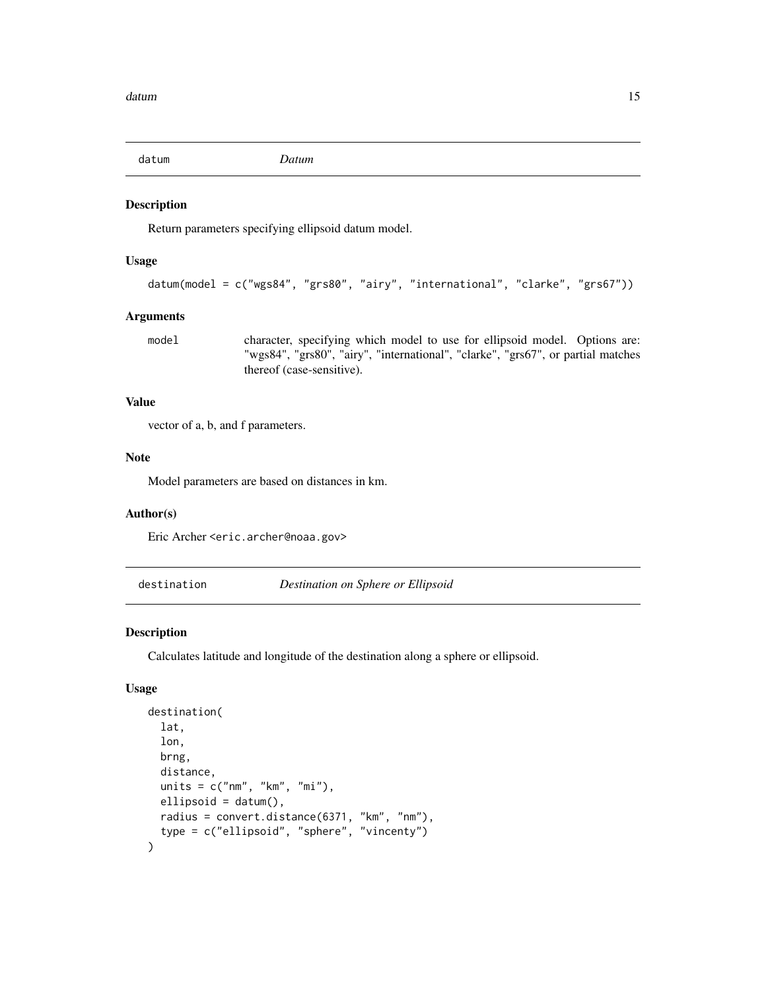<span id="page-14-1"></span><span id="page-14-0"></span>

Return parameters specifying ellipsoid datum model.

#### Usage

```
datum(model = c("wgs84", "grs80", "airy", "international", "clarke", "grs67"))
```
## Arguments

model character, specifying which model to use for ellipsoid model. Options are: "wgs84", "grs80", "airy", "international", "clarke", "grs67", or partial matches thereof (case-sensitive).

#### Value

vector of a, b, and f parameters.

#### Note

Model parameters are based on distances in km.

#### Author(s)

Eric Archer <eric.archer@noaa.gov>

<span id="page-14-2"></span>destination *Destination on Sphere or Ellipsoid*

#### Description

Calculates latitude and longitude of the destination along a sphere or ellipsoid.

#### Usage

```
destination(
  lat,
  lon,
 brng,
  distance,
 units = c("nm", "km", "mi"),
 ellipsoid = datum(),
 radius = convert.distance(6371, "km", "nm"),
  type = c("ellipsoid", "sphere", "vincenty")
\mathcal{E}
```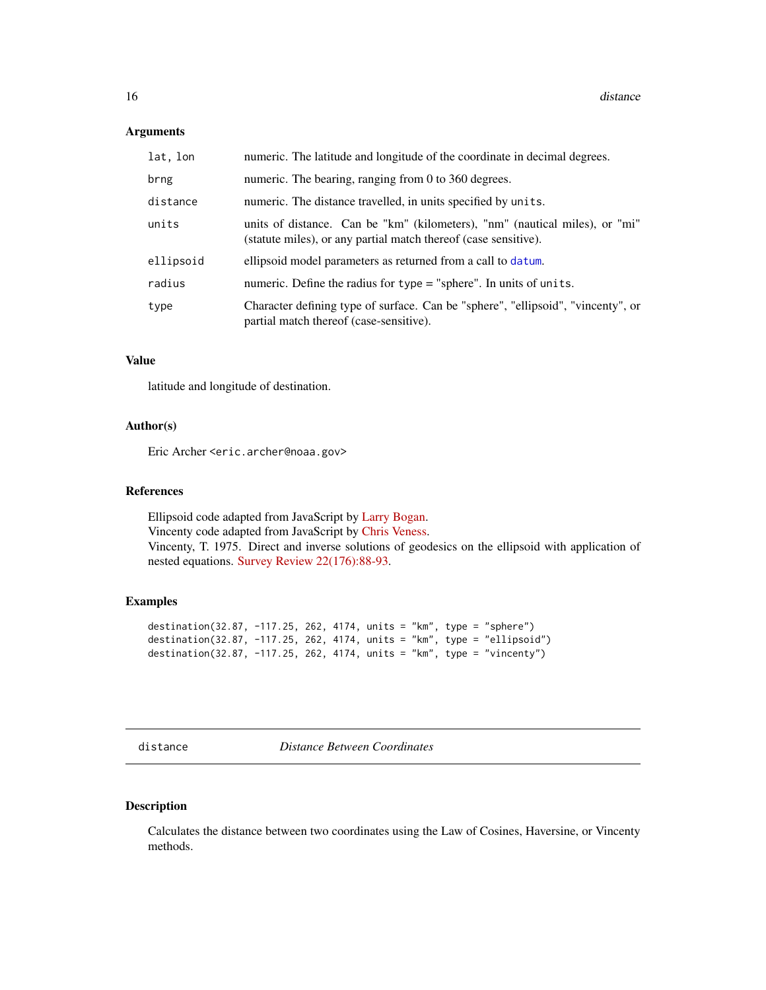#### <span id="page-15-0"></span>Arguments

| lat, lon  | numeric. The latitude and longitude of the coordinate in decimal degrees.                                                                      |  |
|-----------|------------------------------------------------------------------------------------------------------------------------------------------------|--|
| brng      | numeric. The bearing, ranging from 0 to 360 degrees.                                                                                           |  |
| distance  | numeric. The distance travelled, in units specified by units.                                                                                  |  |
| units     | units of distance. Can be "km" (kilometers), "nm" (nautical miles), or "mi"<br>(statute miles), or any partial match thereof (case sensitive). |  |
| ellipsoid | ellipsoid model parameters as returned from a call to datum.                                                                                   |  |
| radius    | numeric. Define the radius for $type = "sphere"$ . In units of units.                                                                          |  |
| type      | Character defining type of surface. Can be "sphere", "ellipsoid", "vincenty", or<br>partial match thereof (case-sensitive).                    |  |

## Value

latitude and longitude of destination.

## Author(s)

Eric Archer <eric.archer@noaa.gov>

#### References

Ellipsoid code adapted from JavaScript by [Larry Bogan.](https://adsabs.harvard.edu/full/2000JRASC..94...48B) Vincenty code adapted from JavaScript by [Chris Veness.](https://www.movable-type.co.uk/scripts/latlong-vincenty.html#direct) Vincenty, T. 1975. Direct and inverse solutions of geodesics on the ellipsoid with application of nested equations. [Survey Review 22\(176\):88-93.](https://www.ngs.noaa.gov/PUBS_LIB/inverse.pdf)

## Examples

```
destination(32.87, -117.25, 262, 4174, units = "km", type = "sphere")
destination(32.87, -117.25, 262, 4174, units = "km", type = "ellipsoid")
destination(32.87, -117.25, 262, 4174, units = "km", type = "vincenty")
```
<span id="page-15-1"></span>distance *Distance Between Coordinates*

## Description

Calculates the distance between two coordinates using the Law of Cosines, Haversine, or Vincenty methods.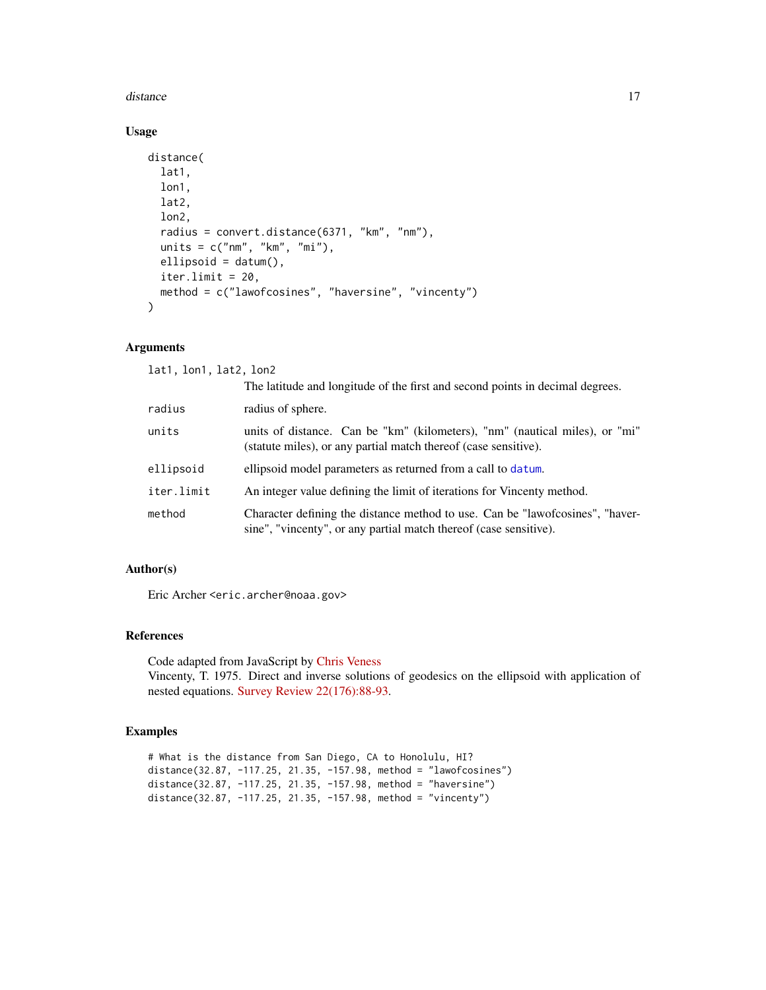#### <span id="page-16-0"></span>distance the contract of the contract of the contract of the contract of the contract of the contract of the contract of the contract of the contract of the contract of the contract of the contract of the contract of the c

## Usage

```
distance(
  lat1,
  lon1,
  lat2,
  lon2,
  radius = convert.distance(6371, "km", "nm"),
 units = c("nm", "km", "mi"),
 ellipsoid = datum(),
  iter.limit = 20,method = c("lawofcosines", "haversine", "vincenty")
)
```
## Arguments

lat1, lon1, lat2, lon2

|            | The latitude and longitude of the first and second points in decimal degrees.                                                                      |  |
|------------|----------------------------------------------------------------------------------------------------------------------------------------------------|--|
| radius     | radius of sphere.                                                                                                                                  |  |
| units      | units of distance. Can be "km" (kilometers), "nm" (nautical miles), or "mi"<br>(statute miles), or any partial match thereof (case sensitive).     |  |
| ellipsoid  | ellipsoid model parameters as returned from a call to datum.                                                                                       |  |
| iter.limit | An integer value defining the limit of iterations for Vincenty method.                                                                             |  |
| method     | Character defining the distance method to use. Can be "lawofcosines", "haver-<br>sine", "vincenty", or any partial match thereof (case sensitive). |  |

## Author(s)

Eric Archer <eric.archer@noaa.gov>

#### References

Code adapted from JavaScript by [Chris Veness](https://www.movable-type.co.uk/scripts/latlong.html) Vincenty, T. 1975. Direct and inverse solutions of geodesics on the ellipsoid with application of nested equations. [Survey Review 22\(176\):88-93.](https://www.ngs.noaa.gov/PUBS_LIB/inverse.pdf)

#### Examples

# What is the distance from San Diego, CA to Honolulu, HI? distance(32.87, -117.25, 21.35, -157.98, method = "lawofcosines") distance(32.87, -117.25, 21.35, -157.98, method = "haversine") distance(32.87, -117.25, 21.35, -157.98, method = "vincenty")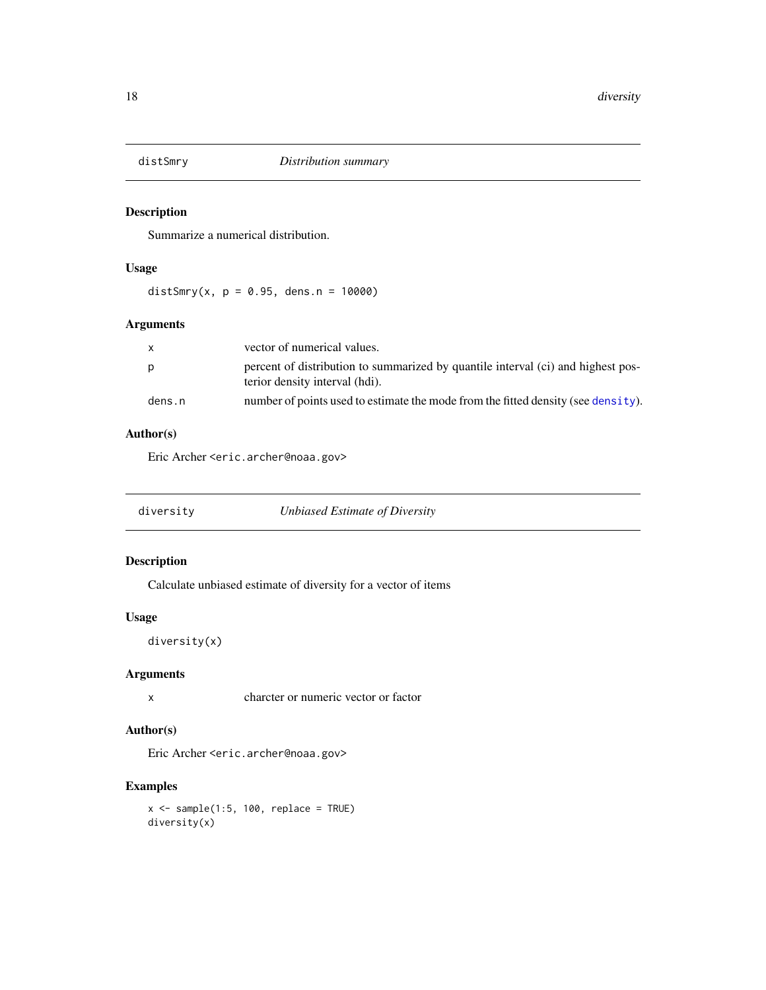<span id="page-17-0"></span>

Summarize a numerical distribution.

## Usage

distSmry(x,  $p = 0.95$ , dens.n = 10000)

## Arguments

|        | vector of numerical values.                                                                                        |
|--------|--------------------------------------------------------------------------------------------------------------------|
|        | percent of distribution to summarized by quantile interval (ci) and highest pos-<br>terior density interval (hdi). |
| dens.n | number of points used to estimate the mode from the fitted density (see density).                                  |

## Author(s)

Eric Archer <eric.archer@noaa.gov>

| diversity | Unbiased Estimate of Diversity |
|-----------|--------------------------------|
|           |                                |

## Description

Calculate unbiased estimate of diversity for a vector of items

## Usage

diversity(x)

#### Arguments

x charcter or numeric vector or factor

## Author(s)

Eric Archer <eric.archer@noaa.gov>

## Examples

 $x \leq -$  sample(1:5, 100, replace = TRUE) diversity(x)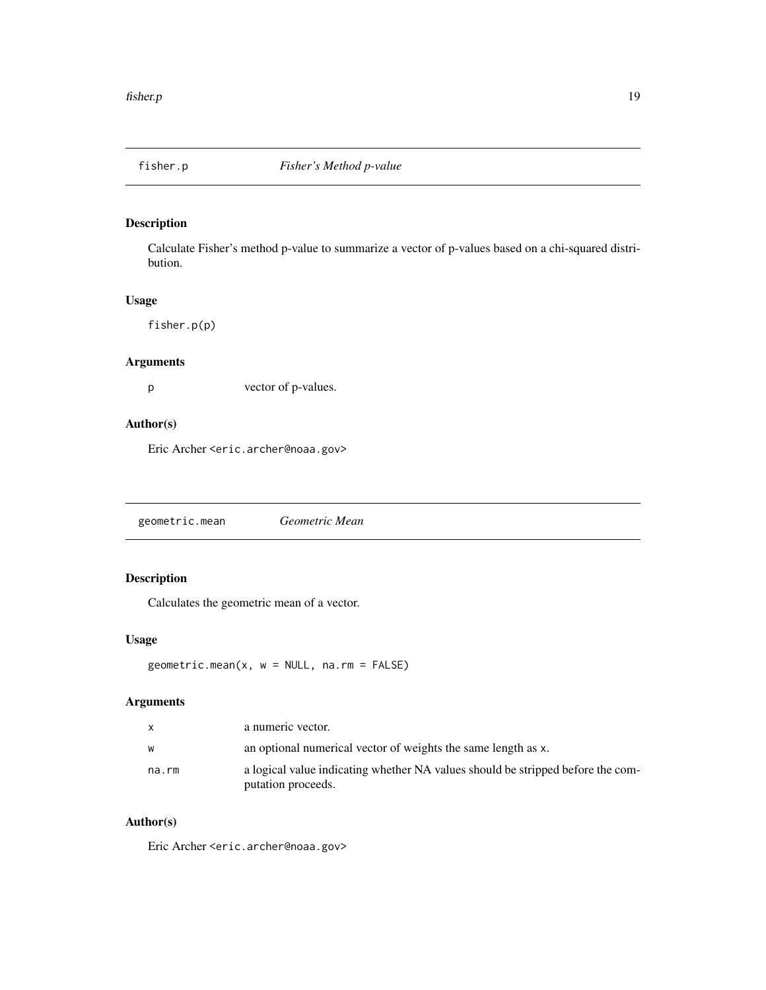<span id="page-18-0"></span>

Calculate Fisher's method p-value to summarize a vector of p-values based on a chi-squared distribution.

## Usage

fisher.p(p)

#### Arguments

p vector of p-values.

## Author(s)

Eric Archer <eric.archer@noaa.gov>

geometric.mean *Geometric Mean*

## Description

Calculates the geometric mean of a vector.

## Usage

geometric.mean(x, w = NULL, na.rm = FALSE)

## Arguments

|       | a numeric vector.                                                                                     |
|-------|-------------------------------------------------------------------------------------------------------|
| w     | an optional numerical vector of weights the same length as x.                                         |
| na.rm | a logical value indicating whether NA values should be stripped before the com-<br>putation proceeds. |

## Author(s)

Eric Archer <eric.archer@noaa.gov>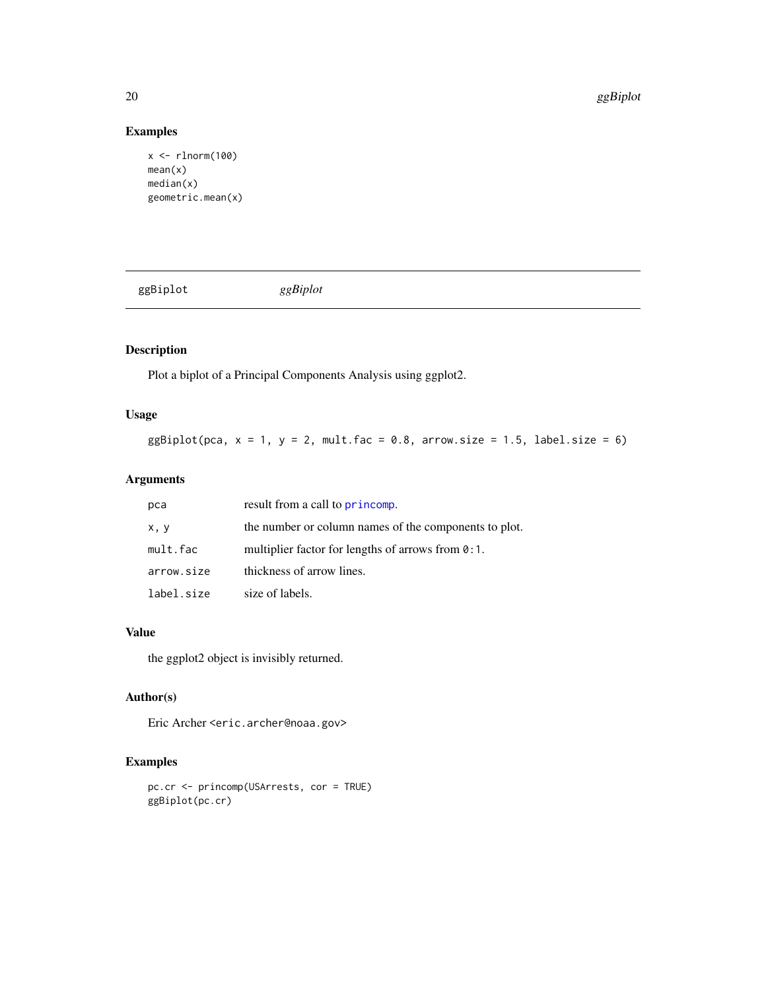## Examples

```
x <- rlnorm(100)
mean(x)
median(x)
geometric.mean(x)
```
ggBiplot *ggBiplot*

## Description

Plot a biplot of a Principal Components Analysis using ggplot2.

## Usage

 $ggBiplot(pca, x = 1, y = 2, mult.fac = 0.8, arrow.size = 1.5, label.size = 6)$ 

## Arguments

| рса        | result from a call to princomp.                       |  |
|------------|-------------------------------------------------------|--|
| x, y       | the number or column names of the components to plot. |  |
| mult.fac   | multiplier factor for lengths of arrows from $0:1$ .  |  |
| arrow.size | thickness of arrow lines.                             |  |
| label.size | size of labels.                                       |  |

## Value

the ggplot2 object is invisibly returned.

## Author(s)

Eric Archer <eric.archer@noaa.gov>

```
pc.cr <- princomp(USArrests, cor = TRUE)
ggBiplot(pc.cr)
```
<span id="page-19-0"></span>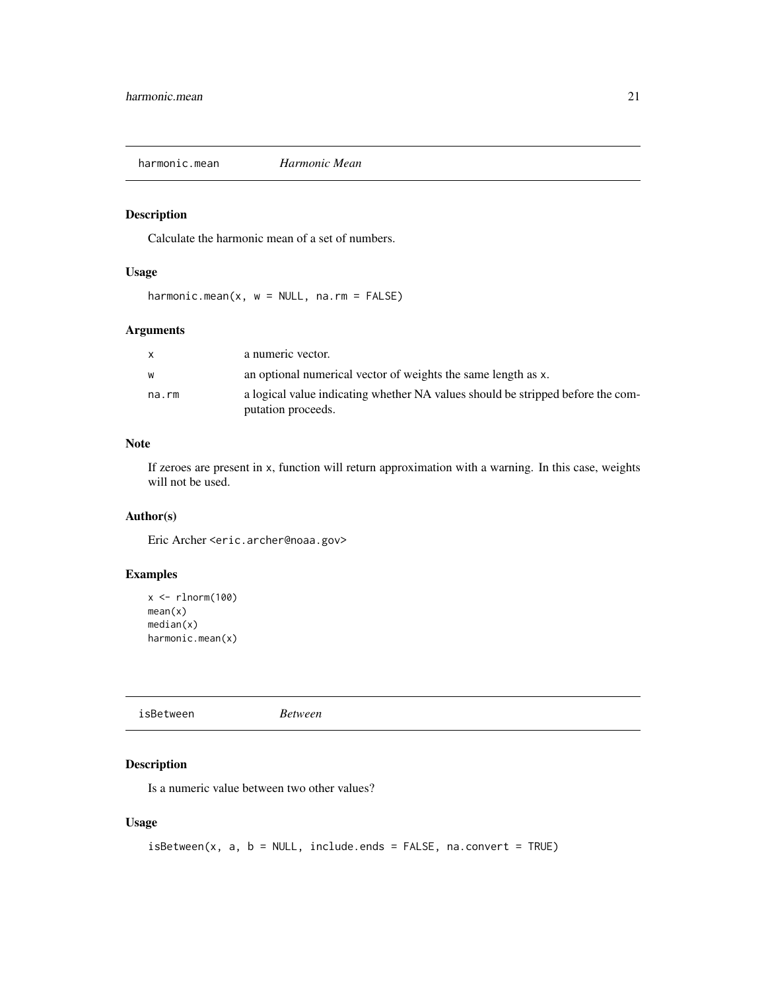<span id="page-20-0"></span>harmonic.mean *Harmonic Mean*

## Description

Calculate the harmonic mean of a set of numbers.

## Usage

harmonic.mean( $x$ ,  $w = NULL$ , na.rm = FALSE)

## Arguments

| X     | a numeric vector.                                                               |
|-------|---------------------------------------------------------------------------------|
| W     | an optional numerical vector of weights the same length as x.                   |
| na.rm | a logical value indicating whether NA values should be stripped before the com- |
|       | putation proceeds.                                                              |

## Note

If zeroes are present in x, function will return approximation with a warning. In this case, weights will not be used.

## Author(s)

Eric Archer <eric.archer@noaa.gov>

#### Examples

```
x \leftarrow \text{rlnorm}(100)mean(x)
median(x)
harmonic.mean(x)
```
isBetween *Between*

## Description

Is a numeric value between two other values?

## Usage

```
isBetween(x, a, b = NULL, include. ends = FALSE, na. convert = TRUE)
```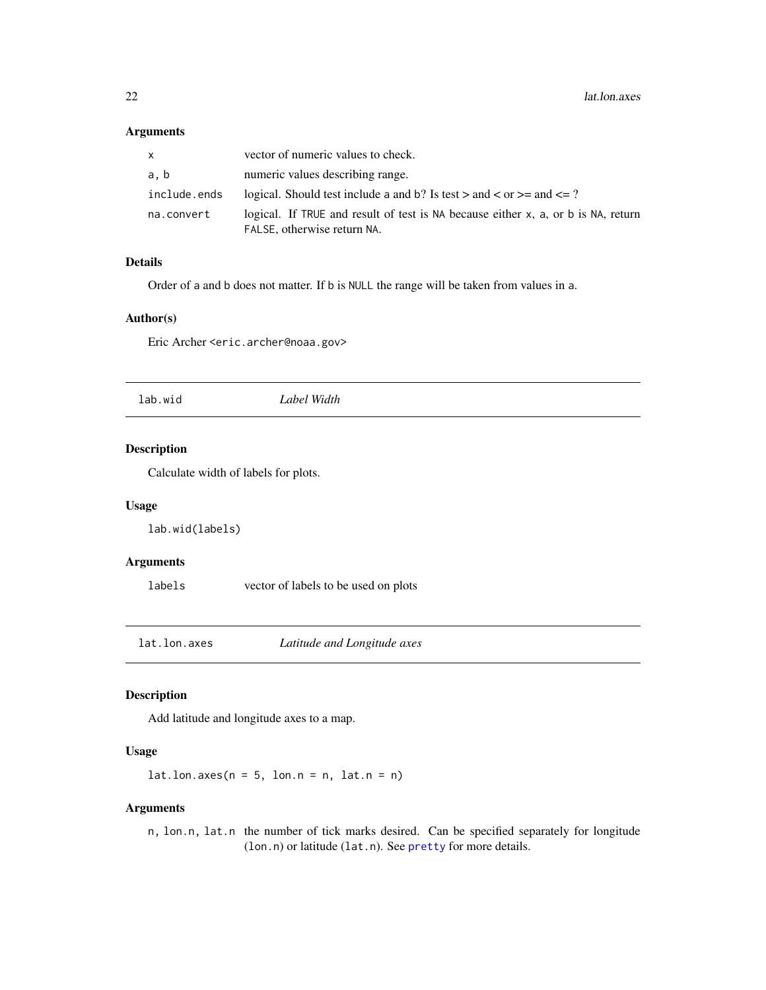## <span id="page-21-0"></span>Arguments

| x            | vector of numeric values to check.                                                                               |
|--------------|------------------------------------------------------------------------------------------------------------------|
| a.b          | numeric values describing range.                                                                                 |
| include.ends | logical. Should test include a and b? Is test $>$ and $<$ or $>=$ and $<=$ ?                                     |
| na.convert   | logical. If TRUE and result of test is NA because either x, a, or b is NA, return<br>FALSE, otherwise return NA. |

## Details

Order of a and b does not matter. If b is NULL the range will be taken from values in a.

#### Author(s)

Eric Archer <eric.archer@noaa.gov>

lab.wid *Label Width*

#### Description

Calculate width of labels for plots.

#### Usage

lab.wid(labels)

## Arguments

labels vector of labels to be used on plots

<span id="page-21-1"></span>lat.lon.axes *Latitude and Longitude axes*

## Description

Add latitude and longitude axes to a map.

#### Usage

 $lat.lon.axes(n = 5, lon.n = n, lat.n = n)$ 

#### Arguments

n, lon.n, lat.n the number of tick marks desired. Can be specified separately for longitude (lon.n) or latitude (lat.n). See [pretty](#page-0-0) for more details.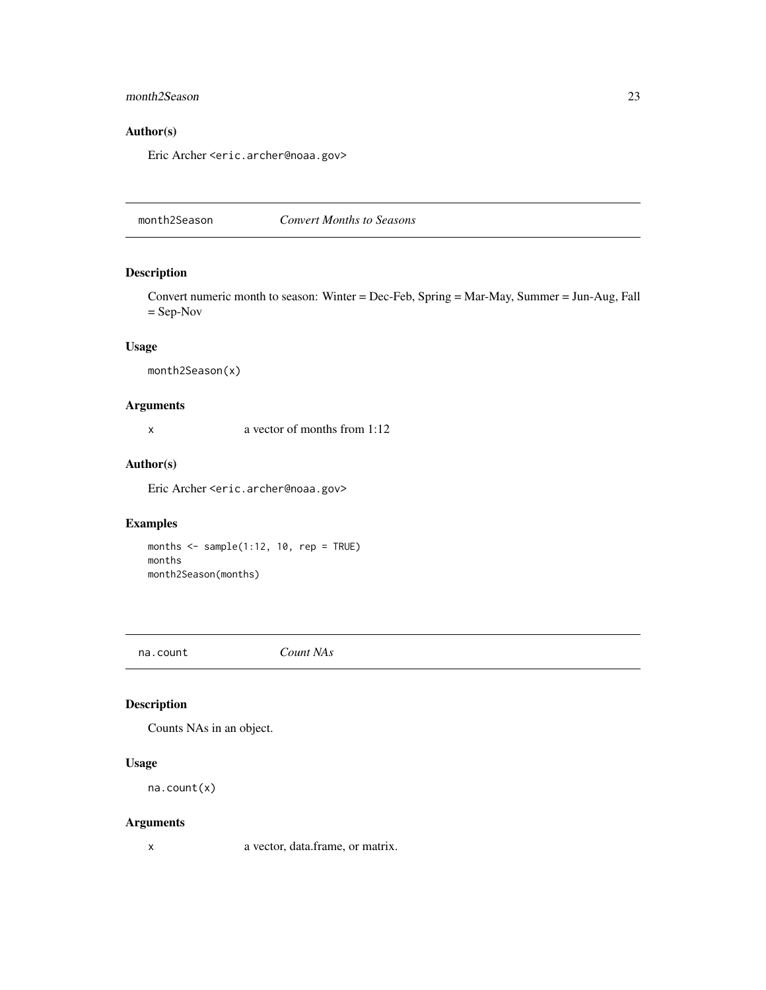## <span id="page-22-0"></span>month2Season 23

## Author(s)

Eric Archer <eric.archer@noaa.gov>

month2Season *Convert Months to Seasons*

## Description

Convert numeric month to season: Winter = Dec-Feb, Spring = Mar-May, Summer = Jun-Aug, Fall = Sep-Nov

#### Usage

month2Season(x)

## Arguments

x a vector of months from 1:12

#### Author(s)

Eric Archer <eric.archer@noaa.gov>

## Examples

months  $\leq$  sample(1:12, 10, rep = TRUE) months month2Season(months)

na.count *Count NAs*

## Description

Counts NAs in an object.

## Usage

na.count(x)

## Arguments

x a vector, data.frame, or matrix.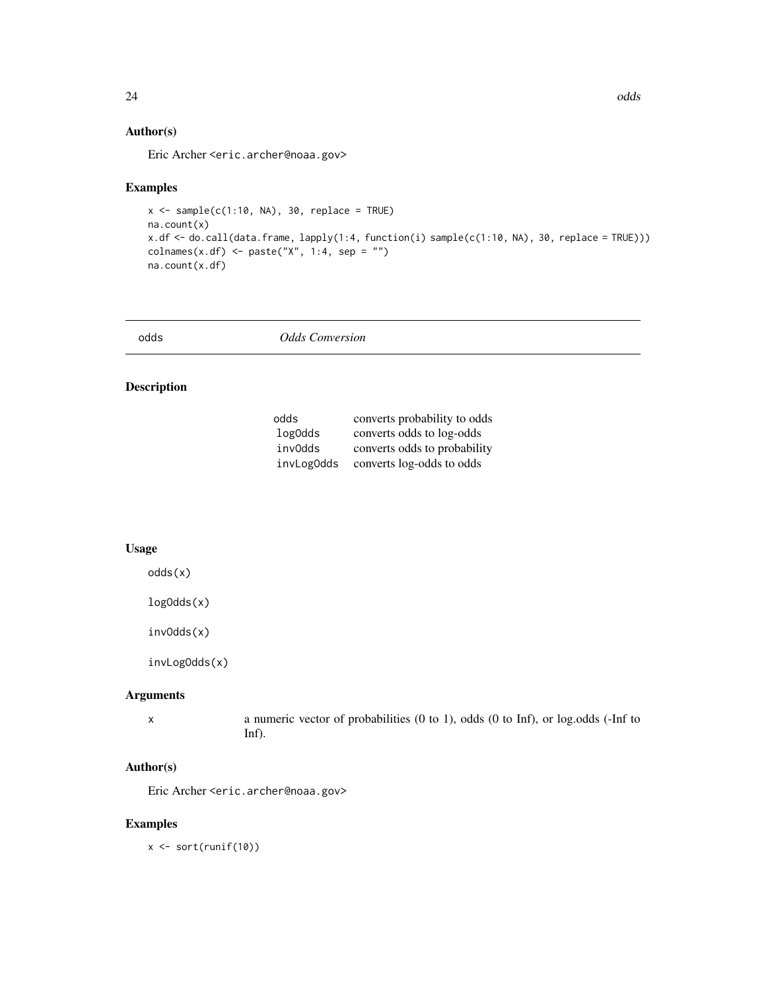## <span id="page-23-0"></span>Author(s)

Eric Archer <eric.archer@noaa.gov>

#### Examples

```
x \le - sample(c(1:10, NA), 30, replace = TRUE)
na.count(x)
x.df <- do.call(data.frame, lapply(1:4, function(i) sample(c(1:10, NA), 30, replace = TRUE)))
\text{colnames}(x.df) \leq \text{paste}("X", 1:4, \text{sep} = "")na.count(x.df)
```

| odds | <b>Odds Conversion</b> |  |
|------|------------------------|--|
|------|------------------------|--|

## Description

| odds       | converts probability to odds |
|------------|------------------------------|
| log0dds    | converts odds to log-odds    |
| inv0dds    | converts odds to probability |
| invLog0dds | converts log-odds to odds    |

## Usage

odds(x)

logOdds(x)

invOdds(x)

invLogOdds(x)

## Arguments

x a numeric vector of probabilities (0 to 1), odds (0 to Inf), or log.odds (-Inf to Inf).

## Author(s)

Eric Archer <eric.archer@noaa.gov>

#### Examples

 $x \leftarrow sort(runif(10))$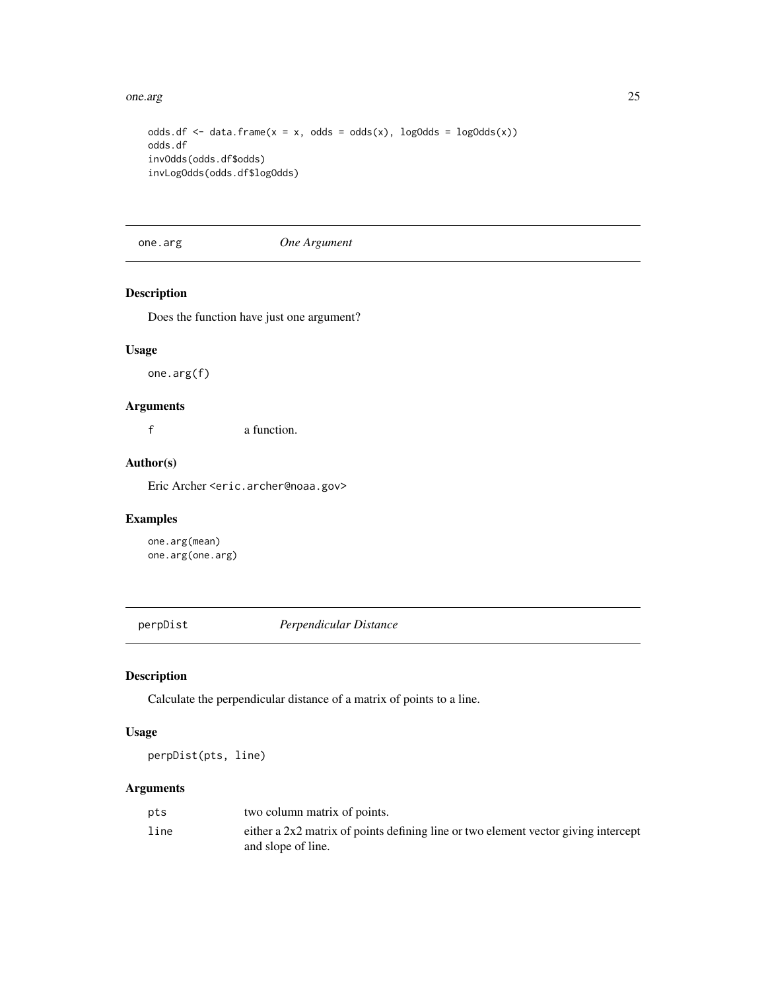<span id="page-24-0"></span>one.arg 25

```
odds.df \leq data.frame(x = x, odds = odds(x), logOdds = logOdds(x))
odds.df
invOdds(odds.df$odds)
invLogOdds(odds.df$logOdds)
```
one.arg *One Argument*

#### Description

Does the function have just one argument?

## Usage

one.arg(f)

## Arguments

f a function.

## Author(s)

Eric Archer <eric.archer@noaa.gov>

## Examples

one.arg(mean) one.arg(one.arg)

perpDist *Perpendicular Distance*

## Description

Calculate the perpendicular distance of a matrix of points to a line.

#### Usage

perpDist(pts, line)

## Arguments

| pts  | two column matrix of points.                                                                             |
|------|----------------------------------------------------------------------------------------------------------|
| line | either a 2x2 matrix of points defining line or two element vector giving intercept<br>and slope of line. |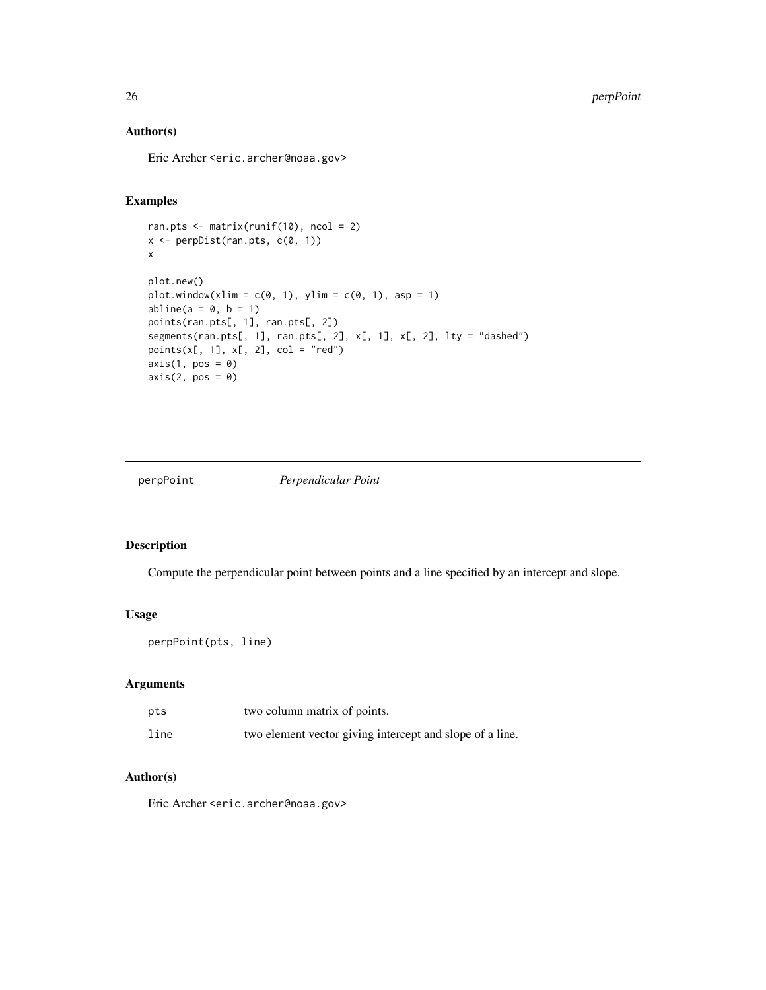## Author(s)

Eric Archer <eric.archer@noaa.gov>

## Examples

```
ran.pts <- matrix(runif(10), ncol = 2)
x <- perpDist(ran.pts, c(0, 1))
x
plot.new()
plot.window(xlim = c(\emptyset, 1), ylim = c(\emptyset, 1), asp = 1)
abline(a = 0, b = 1)points(ran.pts[, 1], ran.pts[, 2])
segments(ran.pts[, 1], ran.pts[, 2], x[, 1], x[, 2], lty = "dashed")
points(x[, 1], x[, 2], col = "red")axis(1, pos = 0)axis(2, pos = 0)
```
perpPoint *Perpendicular Point*

#### Description

Compute the perpendicular point between points and a line specified by an intercept and slope.

## Usage

perpPoint(pts, line)

#### Arguments

| pts  | two column matrix of points.                             |
|------|----------------------------------------------------------|
| line | two element vector giving intercept and slope of a line. |

## Author(s)

Eric Archer <eric.archer@noaa.gov>

<span id="page-25-0"></span>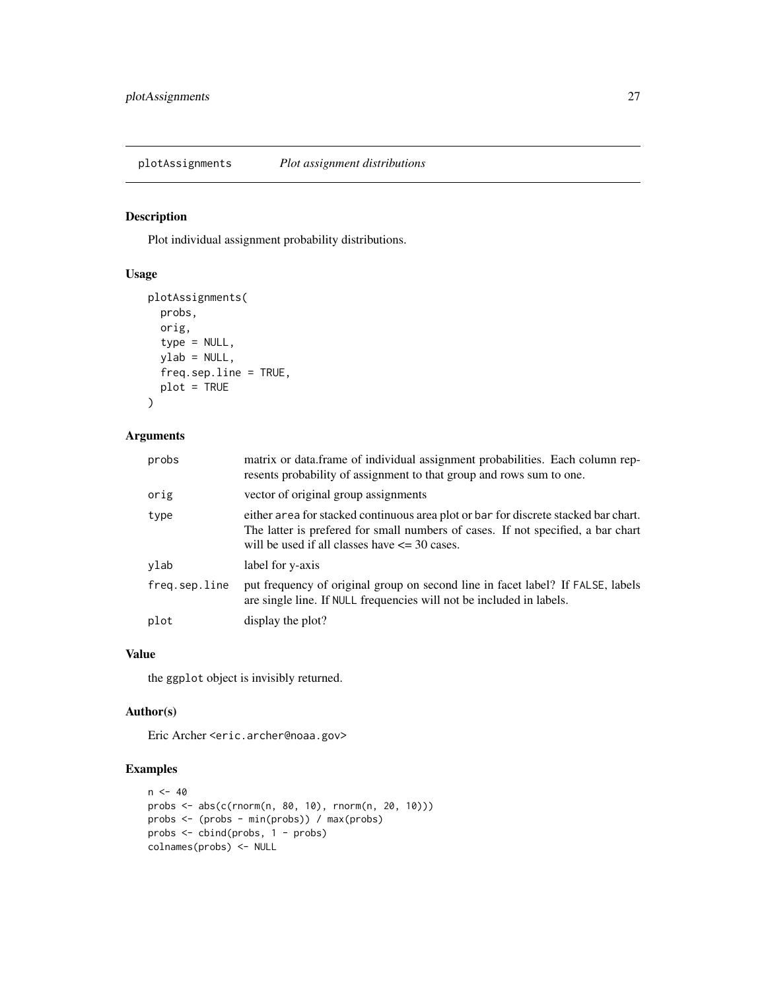<span id="page-26-0"></span>plotAssignments *Plot assignment distributions*

## Description

Plot individual assignment probability distributions.

## Usage

```
plotAssignments(
 probs,
 orig,
  type = NULL,
 ylab = NULL,
 freq.sep.line = TRUE,
 plot = TRUE
)
```
## Arguments

| probs         | matrix or data.frame of individual assignment probabilities. Each column rep-<br>resents probability of assignment to that group and rows sum to one.                                                                        |
|---------------|------------------------------------------------------------------------------------------------------------------------------------------------------------------------------------------------------------------------------|
| orig          | vector of original group assignments                                                                                                                                                                                         |
| type          | either area for stacked continuous area plot or bar for discrete stacked bar chart.<br>The latter is prefered for small numbers of cases. If not specified, a bar chart<br>will be used if all classes have $\leq$ 30 cases. |
| ylab          | label for y-axis                                                                                                                                                                                                             |
| freq.sep.line | put frequency of original group on second line in facet label? If FALSE, labels<br>are single line. If NULL frequencies will not be included in labels.                                                                      |
| plot          | display the plot?                                                                                                                                                                                                            |

#### Value

the ggplot object is invisibly returned.

## Author(s)

Eric Archer <eric.archer@noaa.gov>

```
n < -40probs <- abs(c(rnorm(n, 80, 10), rnorm(n, 20, 10)))
probs <- (probs - min(probs)) / max(probs)
probs <- cbind(probs, 1 - probs)
colnames(probs) <- NULL
```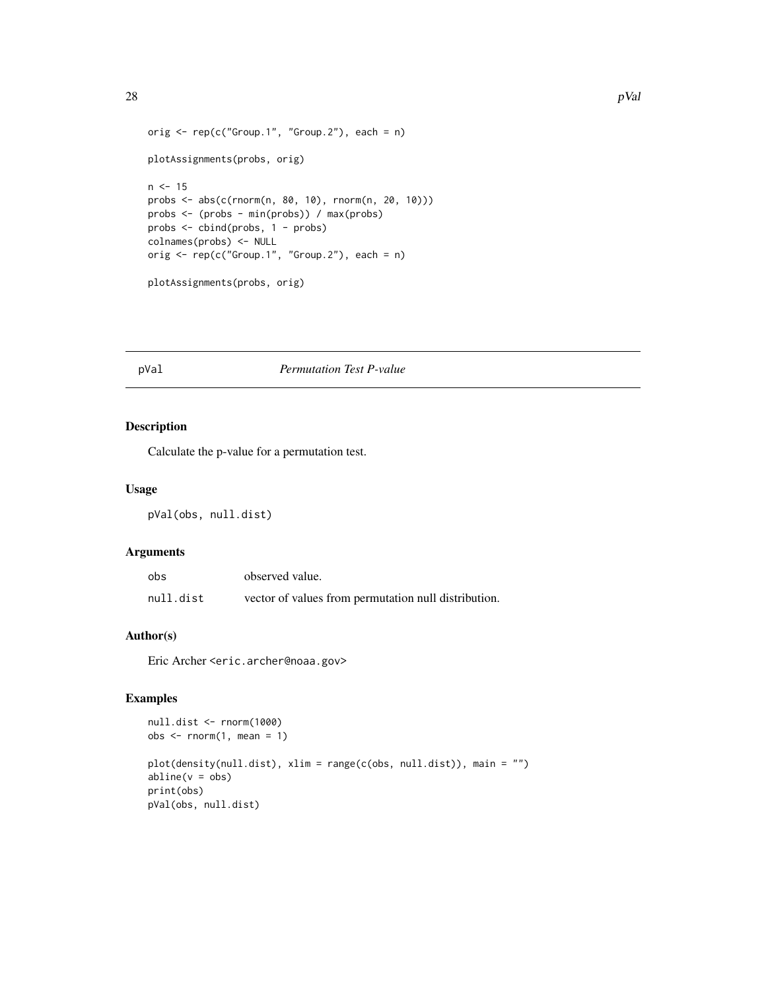```
orig \leq rep(c("Group.1", "Group.2"), each = n)
plotAssignments(probs, orig)
n < -15probs <- abs(c(rnorm(n, 80, 10), rnorm(n, 20, 10)))
probs <- (probs - min(probs)) / max(probs)
probs <- cbind(probs, 1 - probs)
colnames(probs) <- NULL
orig <- rep(c("Group.1", "Group.2"), each = n)
plotAssignments(probs, orig)
```
#### pVal *Permutation Test P-value*

## Description

Calculate the p-value for a permutation test.

## Usage

```
pVal(obs, null.dist)
```
## Arguments

| obs       | observed value.                                      |
|-----------|------------------------------------------------------|
| null.dist | vector of values from permutation null distribution. |

#### Author(s)

Eric Archer <eric.archer@noaa.gov>

```
null.dist <- rnorm(1000)
obs < -rnorm(1, mean = 1)plot(density(null.dist), xlim = range(c(obs, null.dist)), main = "")
abline(v = obs)print(obs)
pVal(obs, null.dist)
```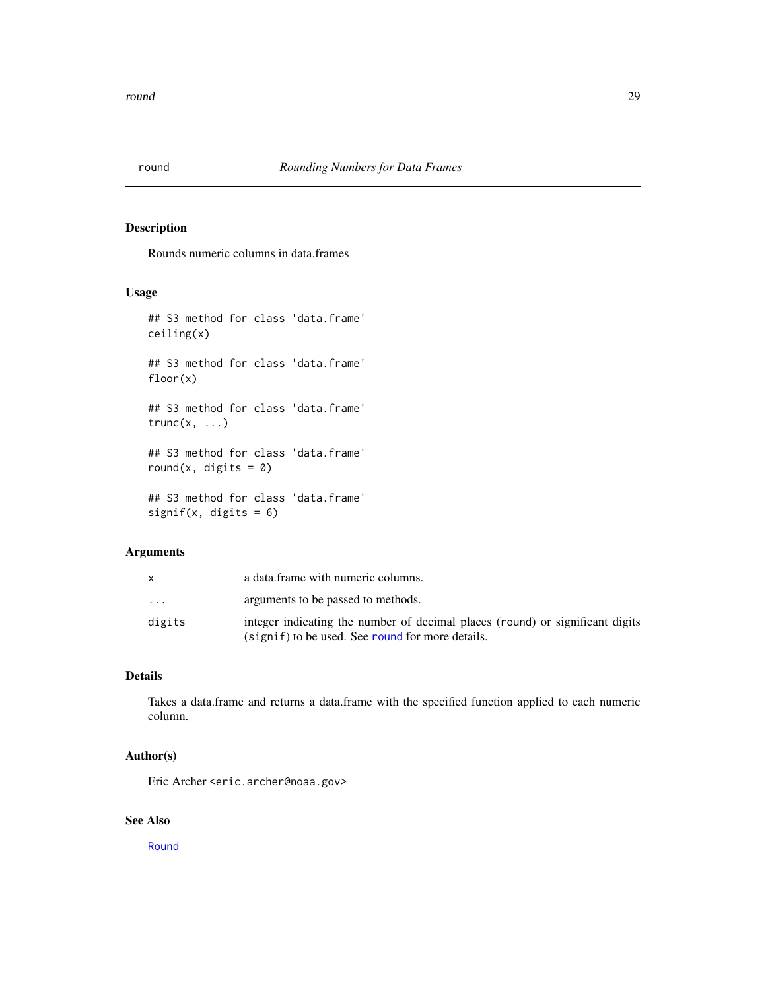<span id="page-28-1"></span><span id="page-28-0"></span>

Rounds numeric columns in data.frames

#### Usage

```
## S3 method for class 'data.frame'
ceiling(x)
## S3 method for class 'data.frame'
floor(x)
## S3 method for class 'data.frame'
trunc(x, \ldots)## S3 method for class 'data.frame'
round(x, digits = 0)
## S3 method for class 'data.frame'
signif(x, digits = 6)
```
## Arguments

|                         | a data frame with numeric columns.                                                                                                |
|-------------------------|-----------------------------------------------------------------------------------------------------------------------------------|
| $\cdot$ $\cdot$ $\cdot$ | arguments to be passed to methods.                                                                                                |
| digits                  | integer indicating the number of decimal places (round) or significant digits<br>(signif) to be used. See round for more details. |

## Details

Takes a data.frame and returns a data.frame with the specified function applied to each numeric column.

## Author(s)

Eric Archer <eric.archer@noaa.gov>

## See Also

[Round](#page-0-0)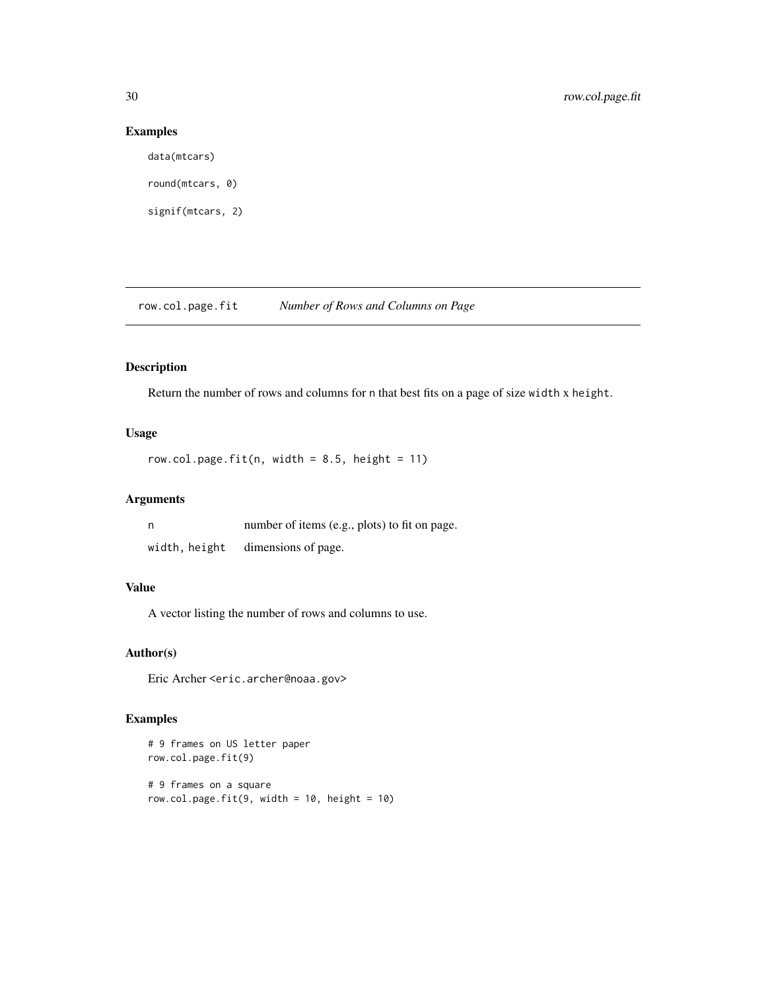## Examples

```
data(mtcars)
round(mtcars, 0)
signif(mtcars, 2)
```
row.col.page.fit *Number of Rows and Columns on Page*

## Description

Return the number of rows and columns for n that best fits on a page of size width x height.

## Usage

```
row.col.page.fit(n, width = 8.5, height = 11)
```
## Arguments

| n             | number of items (e.g., plots) to fit on page. |
|---------------|-----------------------------------------------|
| width, height | dimensions of page.                           |

## Value

A vector listing the number of rows and columns to use.

## Author(s)

Eric Archer <eric.archer@noaa.gov>

```
# 9 frames on US letter paper
row.col.page.fit(9)
# 9 frames on a square
row.col.page.fit(9, width = 10, height = 10)
```
<span id="page-29-0"></span>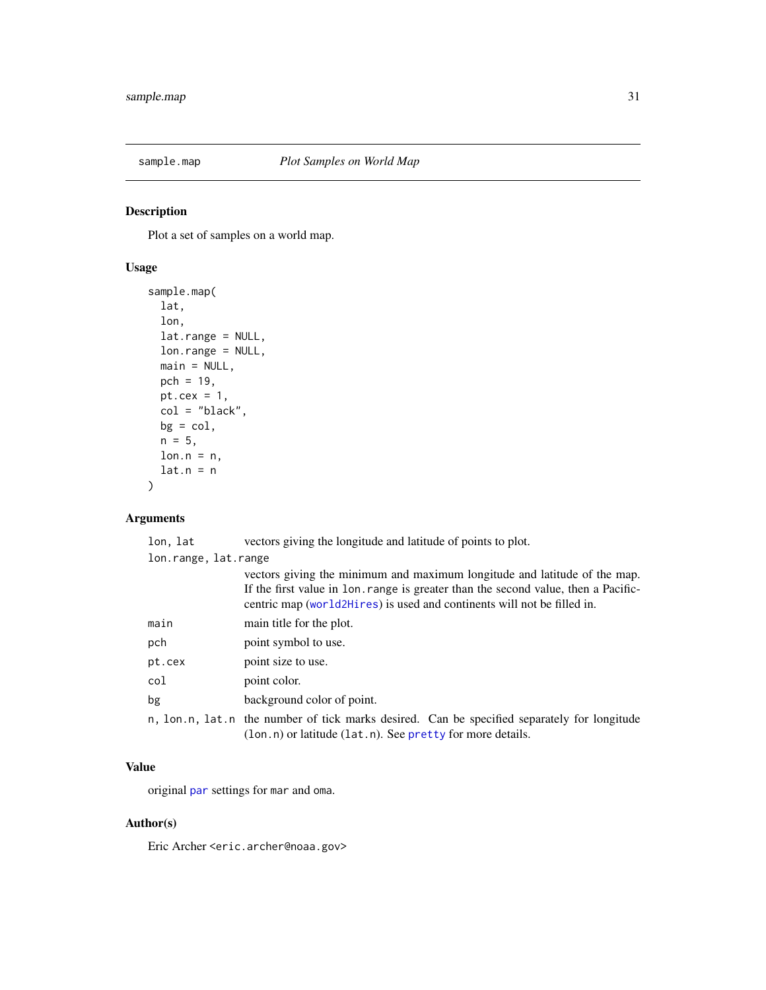<span id="page-30-0"></span>

Plot a set of samples on a world map.

## Usage

```
sample.map(
 lat,
 lon,
 lat.range = NULL,
 lon.range = NULL,
 main = NULL,
 pch = 19,
 pt.cex = 1,
 col = "black",
 bg = col,n = 5,
 lon.n = n,lat.n = n)
```
## Arguments

|                      | lon, lat | vectors giving the longitude and latitude of points to plot.                                                                                                                                                                               |
|----------------------|----------|--------------------------------------------------------------------------------------------------------------------------------------------------------------------------------------------------------------------------------------------|
| lon.range, lat.range |          |                                                                                                                                                                                                                                            |
|                      |          | vectors giving the minimum and maximum longitude and latitude of the map.<br>If the first value in 10n. range is greater than the second value, then a Pacific-<br>centric map (world2Hires) is used and continents will not be filled in. |
|                      | main     | main title for the plot.                                                                                                                                                                                                                   |
|                      | pch      | point symbol to use.                                                                                                                                                                                                                       |
|                      | pt.cex   | point size to use.                                                                                                                                                                                                                         |
|                      | col      | point color.                                                                                                                                                                                                                               |
|                      | bg       | background color of point.                                                                                                                                                                                                                 |
|                      |          | n, lon.n, lat.n the number of tick marks desired. Can be specified separately for longitude<br>(lon.n) or latitude (lat.n). See pretty for more details.                                                                                   |

## Value

original [par](#page-0-0) settings for mar and oma.

## Author(s)

Eric Archer <eric.archer@noaa.gov>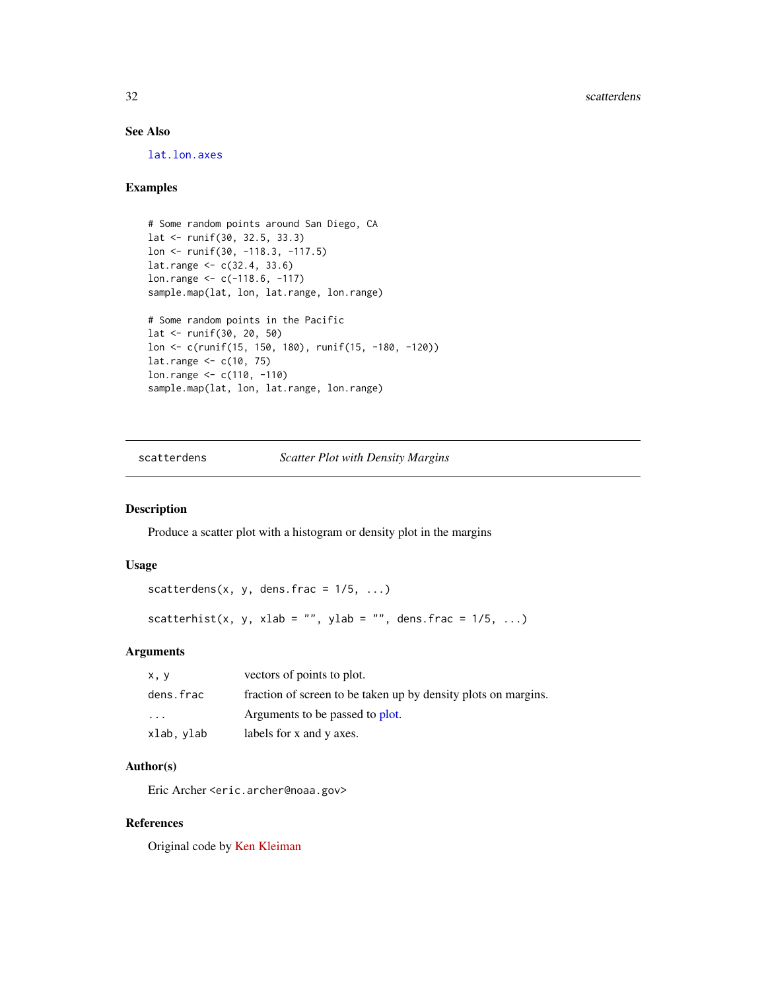## See Also

[lat.lon.axes](#page-21-1)

#### Examples

```
# Some random points around San Diego, CA
lat <- runif(30, 32.5, 33.3)
lon <- runif(30, -118.3, -117.5)
lat.range <- c(32.4, 33.6)
lon.range <- c(-118.6, -117)
sample.map(lat, lon, lat.range, lon.range)
# Some random points in the Pacific
lat <- runif(30, 20, 50)
lon <- c(runif(15, 150, 180), runif(15, -180, -120))
lat.range <- c(10, 75)
lon.range <- c(110, -110)
sample.map(lat, lon, lat.range, lon.range)
```
scatterdens *Scatter Plot with Density Margins*

## Description

Produce a scatter plot with a histogram or density plot in the margins

#### Usage

```
scatterdens(x, y, dens.frac = 1/5, ...)
scatterhist(x, y, xlab = "", ylab = "", dens.frac = 1/5, ...)
```
#### Arguments

| x, y       | vectors of points to plot.                                     |
|------------|----------------------------------------------------------------|
| dens.frac  | fraction of screen to be taken up by density plots on margins. |
| .          | Arguments to be passed to plot.                                |
| xlab, ylab | labels for x and y axes.                                       |

## Author(s)

Eric Archer <eric.archer@noaa.gov>

#### References

Original code by [Ken Kleiman](https://sas-and-r.blogspot.co.uk/2011/06/example-841-scatterplot-with-marginal.html)

<span id="page-31-0"></span>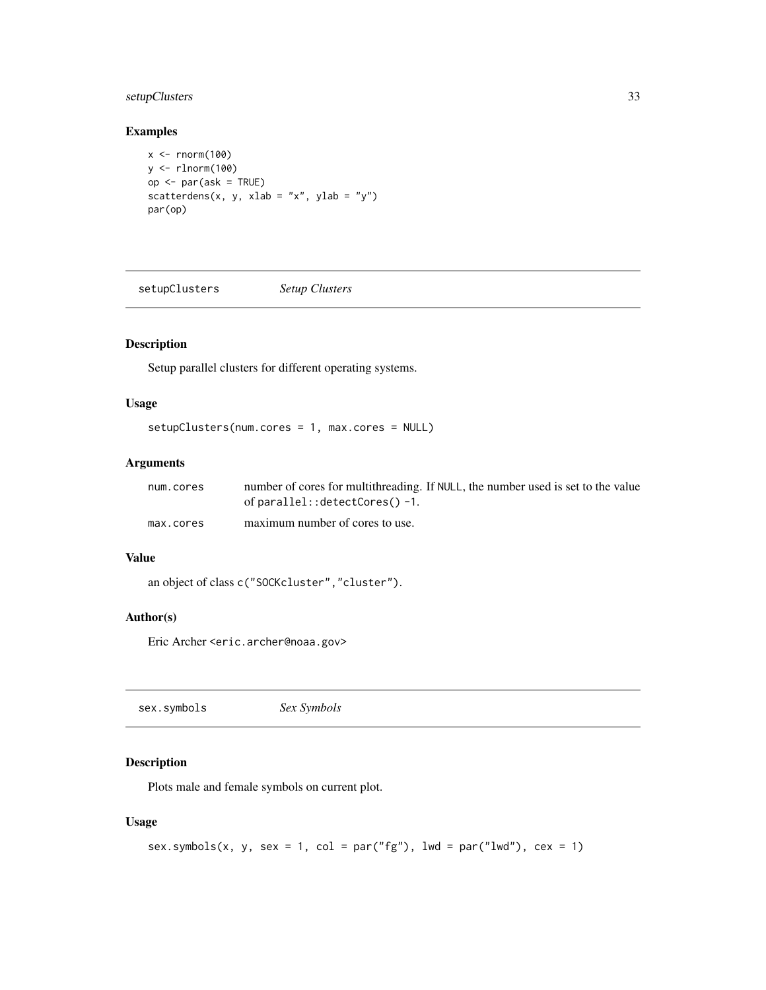## <span id="page-32-0"></span>setupClusters 33

## Examples

```
x < - rnorm(100)
y <- rlnorm(100)
op <- par(ask = TRUE)
scatterdens(x, y, xlab = "x", ylab = "y")
par(op)
```
setupClusters *Setup Clusters*

## Description

Setup parallel clusters for different operating systems.

## Usage

setupClusters(num.cores = 1, max.cores = NULL)

## Arguments

| num.cores | number of cores for multithreading. If NULL, the number used is set to the value |
|-----------|----------------------------------------------------------------------------------|
|           | of $parallel$ ::detectCores() -1.                                                |
| max.cores | maximum number of cores to use.                                                  |

#### Value

```
an object of class c("SOCKcluster","cluster").
```
## Author(s)

Eric Archer <eric.archer@noaa.gov>

sex.symbols *Sex Symbols*

## Description

Plots male and female symbols on current plot.

## Usage

```
sex.symbols(x, y, sex = 1, col = par("fg"), lwd = par("lwd"), cex = 1)
```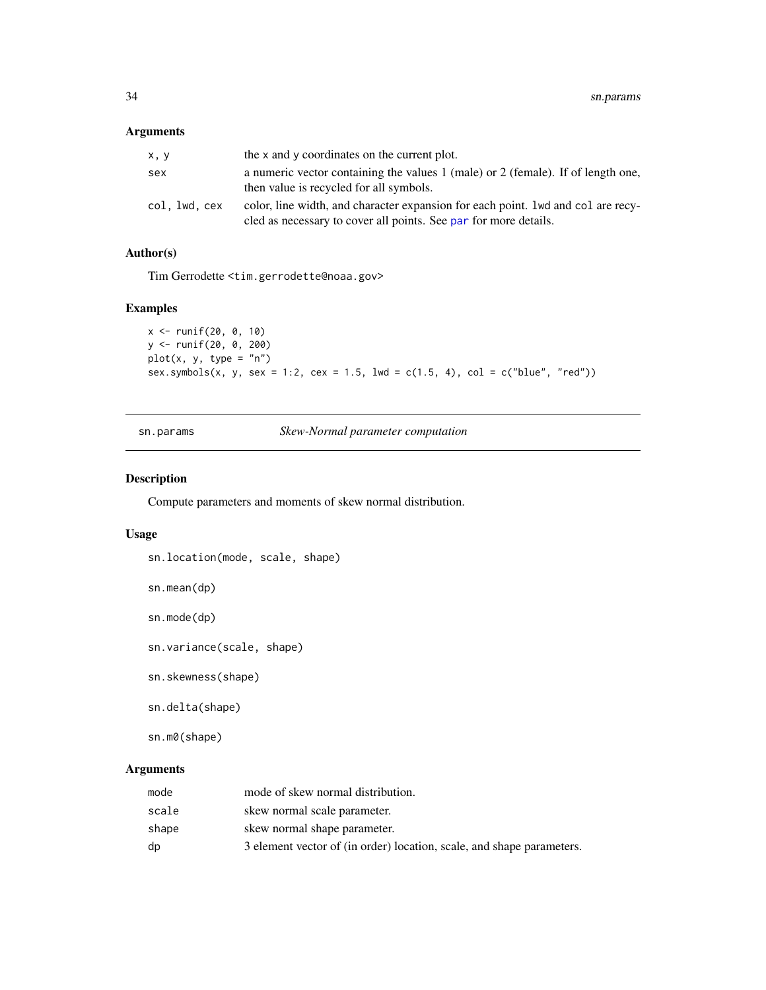## <span id="page-33-0"></span>Arguments

| x, y          | the x and y coordinates on the current plot.                                                                                                          |
|---------------|-------------------------------------------------------------------------------------------------------------------------------------------------------|
| sex           | a numeric vector containing the values 1 (male) or 2 (female). If of length one,<br>then value is recycled for all symbols.                           |
| col, lwd, cex | color, line width, and character expansion for each point. 1 wd and col are recy-<br>cled as necessary to cover all points. See par for more details. |

## Author(s)

Tim Gerrodette <tim.gerrodette@noaa.gov>

## Examples

```
x <- runif(20, 0, 10)
y <- runif(20, 0, 200)
plot(x, y, type = "n")
sex.symbols(x, y, sex = 1:2, cex = 1.5, lwd = c(1.5, 4), col = c("blue", "red"))
```
sn.params *Skew-Normal parameter computation*

## Description

Compute parameters and moments of skew normal distribution.

#### Usage

```
sn.location(mode, scale, shape)
```

```
sn.mean(dp)
```
sn.mode(dp)

```
sn.variance(scale, shape)
```
sn.skewness(shape)

sn.delta(shape)

sn.m0(shape)

## Arguments

| mode  | mode of skew normal distribution.                                     |
|-------|-----------------------------------------------------------------------|
| scale | skew normal scale parameter.                                          |
| shape | skew normal shape parameter.                                          |
| dp    | 3 element vector of (in order) location, scale, and shape parameters. |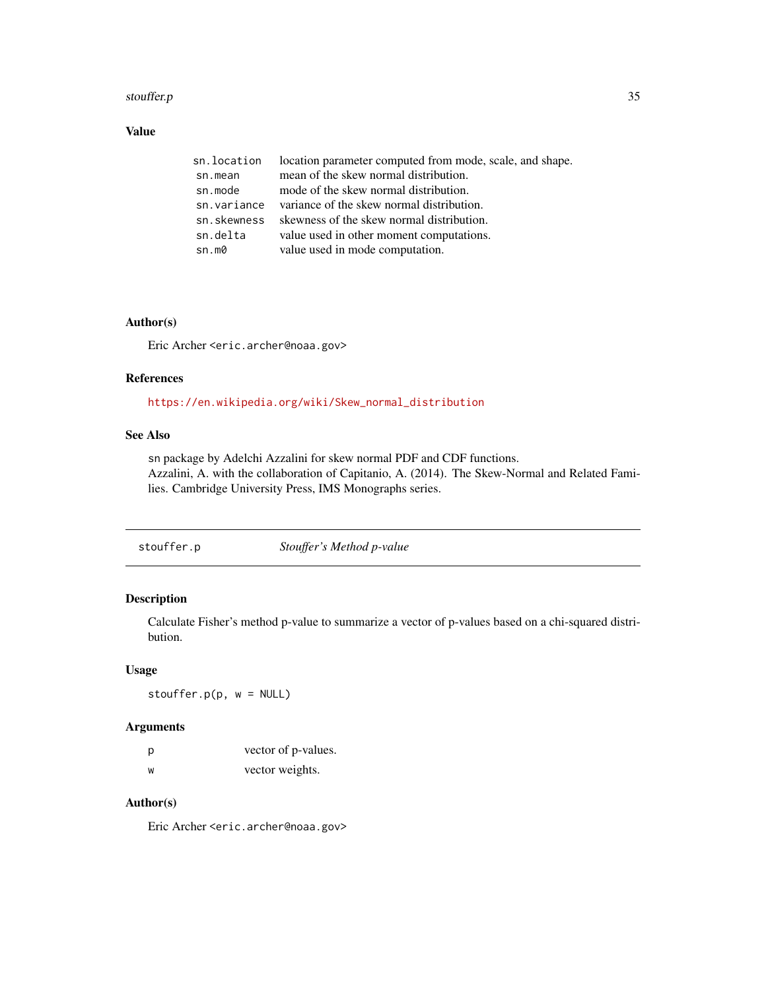#### <span id="page-34-0"></span>stouffer.p 35

## Value

| sn.location | location parameter computed from mode, scale, and shape. |
|-------------|----------------------------------------------------------|
| sn.mean     | mean of the skew normal distribution.                    |
| sn.mode     | mode of the skew normal distribution.                    |
| sn.variance | variance of the skew normal distribution.                |
| sn.skewness | skewness of the skew normal distribution.                |
| sn.delta    | value used in other moment computations.                 |
| sn.m0       | value used in mode computation.                          |

## Author(s)

Eric Archer <eric.archer@noaa.gov>

## References

[https://en.wikipedia.org/wiki/Skew\\_normal\\_distribution](https://en.wikipedia.org/wiki/Skew_normal_distribution)

## See Also

sn package by Adelchi Azzalini for skew normal PDF and CDF functions. Azzalini, A. with the collaboration of Capitanio, A. (2014). The Skew-Normal and Related Families. Cambridge University Press, IMS Monographs series.

stouffer.p *Stouffer's Method p-value*

## Description

Calculate Fisher's method p-value to summarize a vector of p-values based on a chi-squared distribution.

#### Usage

stouffer.p(p, w = NULL)

## Arguments

| p | vector of p-values. |
|---|---------------------|
| W | vector weights.     |

## Author(s)

Eric Archer <eric.archer@noaa.gov>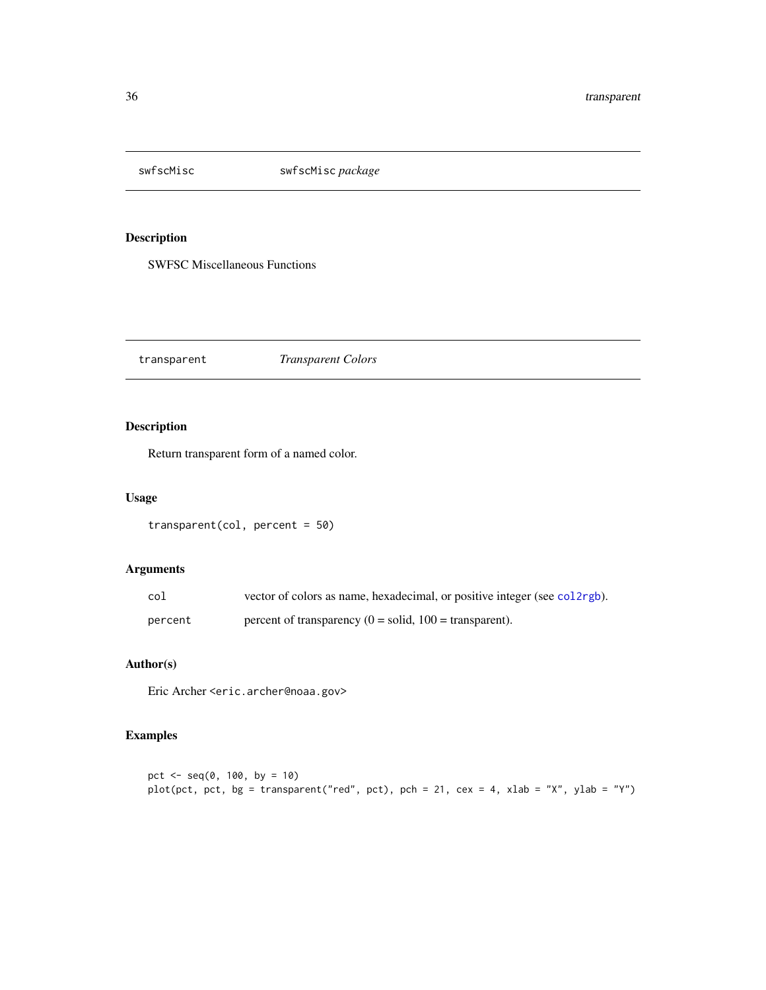<span id="page-35-0"></span>

SWFSC Miscellaneous Functions

transparent *Transparent Colors*

## Description

Return transparent form of a named color.

## Usage

```
transparent(col, percent = 50)
```
## Arguments

| col     | vector of colors as name, hexadecimal, or positive integer (see col2rgb). |
|---------|---------------------------------------------------------------------------|
| percent | percent of transparency $(0 = solid, 100 = transparent)$ .                |

## Author(s)

Eric Archer <eric.archer@noaa.gov>

```
pct \leq - seq(0, 100, by = 10)
plot(pct, pct, bg = transparent("red", pct), pch = 21, cex = 4, xlab = "X", ylab = "Y")
```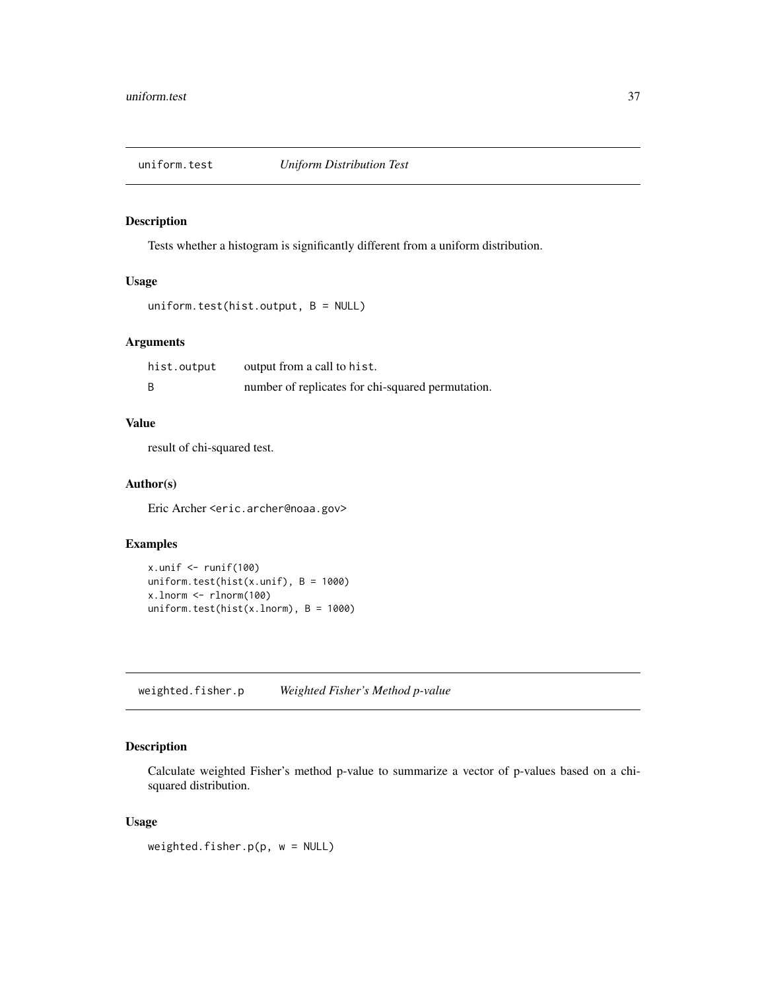<span id="page-36-0"></span>

Tests whether a histogram is significantly different from a uniform distribution.

## Usage

```
uniform.test(hist.output, B = NULL)
```
#### Arguments

| hist.output | output from a call to hist.                       |
|-------------|---------------------------------------------------|
|             | number of replicates for chi-squared permutation. |

## Value

result of chi-squared test.

## Author(s)

Eric Archer <eric.archer@noaa.gov>

#### Examples

```
x.unif \le runif(100)
uniform.test(hist(x.unif), B = 1000)
x.lnorm <- rlnorm(100)
uniform.test(hist(x.lnorm), B = 1000)
```
weighted.fisher.p *Weighted Fisher's Method p-value*

## Description

Calculate weighted Fisher's method p-value to summarize a vector of p-values based on a chisquared distribution.

#### Usage

weighted.fisher.p( $p, w = NULL$ )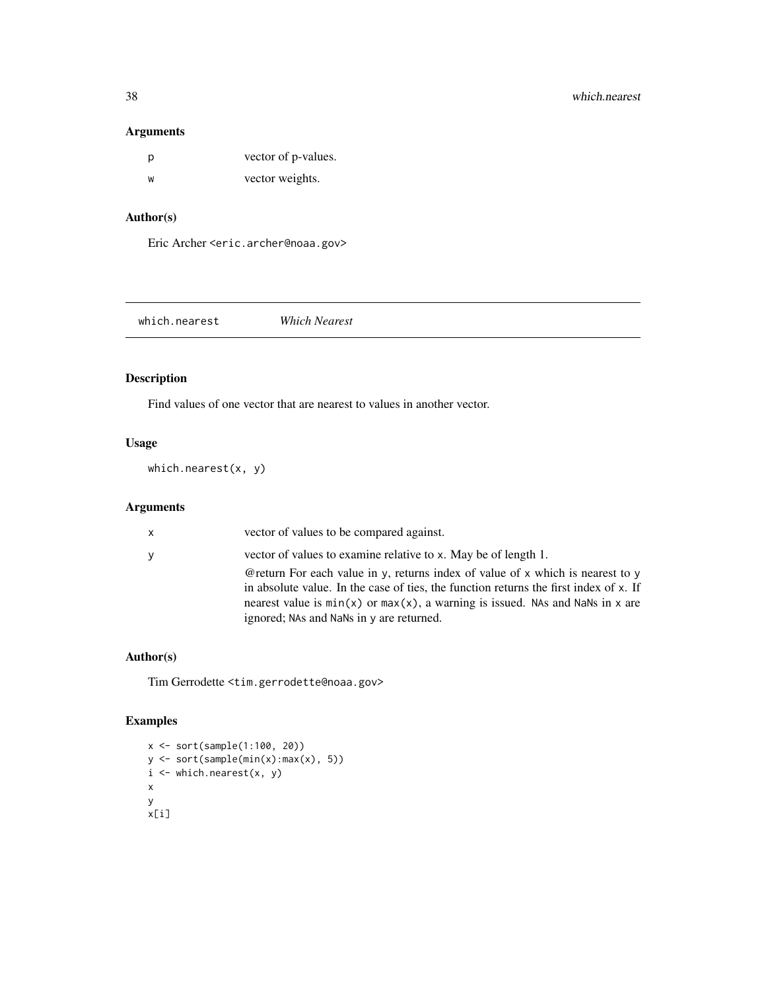## <span id="page-37-0"></span>Arguments

| D | vector of p-values. |
|---|---------------------|
| w | vector weights.     |

## Author(s)

Eric Archer <eric.archer@noaa.gov>

which.nearest *Which Nearest*

## Description

Find values of one vector that are nearest to values in another vector.

## Usage

which.nearest(x, y)

## Arguments

| $\mathsf{X}$ | vector of values to be compared against.                                                                                                                                                                                                                                                                  |
|--------------|-----------------------------------------------------------------------------------------------------------------------------------------------------------------------------------------------------------------------------------------------------------------------------------------------------------|
| $\mathbf{y}$ | vector of values to examine relative to x. May be of length 1.                                                                                                                                                                                                                                            |
|              | @return For each value in y, returns index of value of x which is nearest to y<br>in absolute value. In the case of ties, the function returns the first index of x. If<br>nearest value is $min(x)$ or $max(x)$ , a warning is issued. NAs and NaNs in x are<br>ignored; NAs and NaNs in y are returned. |

#### Author(s)

Tim Gerrodette <tim.gerrodette@noaa.gov>

```
x <- sort(sample(1:100, 20))
y <- sort(sample(min(x):max(x), 5))
i \leftarrow which.nearest(x, y)
x
y
x[i]
```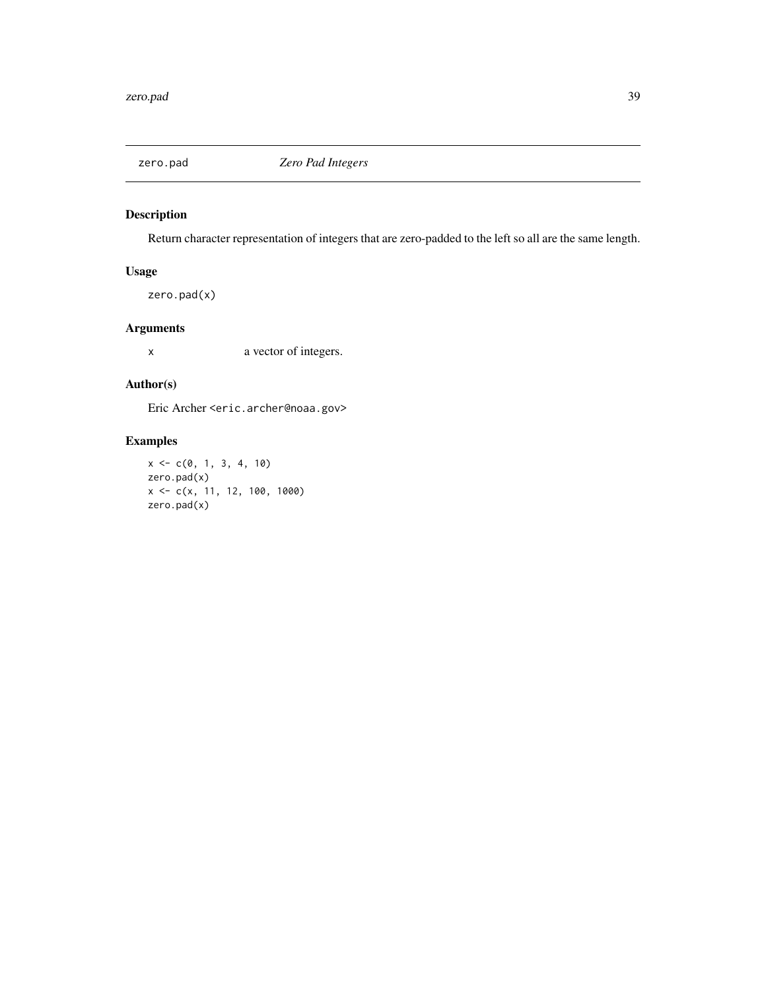<span id="page-38-0"></span>

Return character representation of integers that are zero-padded to the left so all are the same length.

## Usage

zero.pad(x)

## Arguments

x a vector of integers.

## Author(s)

Eric Archer <eric.archer@noaa.gov>

```
x \leq -c(0, 1, 3, 4, 10)zero.pad(x)
x <- c(x, 11, 12, 100, 1000)
zero.pad(x)
```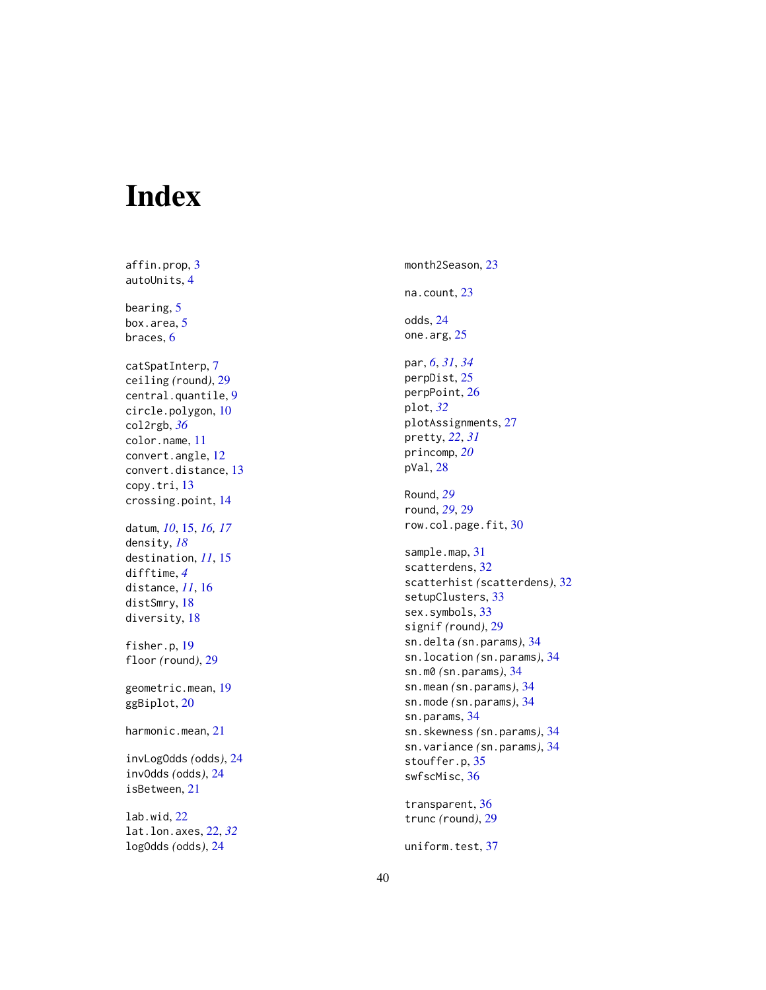# <span id="page-39-0"></span>Index

affin.prop,  $3$ autoUnits , [4](#page-3-0) bearing, [5](#page-4-0) box.area, <mark>[5](#page-4-0)</mark> braces, <mark>[6](#page-5-0)</mark> catSpatInterp , [7](#page-6-0) ceiling *(*round *)* , [29](#page-28-0) central.quantile , [9](#page-8-0) circle.polygon , [10](#page-9-0) col2rgb , *[36](#page-35-0)* color.name , [11](#page-10-0) convert.angle , [12](#page-11-0) convert.distance , [13](#page-12-0) copy.tri , [13](#page-12-0) crossing.point , [14](#page-13-0) datum , *[10](#page-9-0)* , [15](#page-14-0) , *[16,](#page-15-0) [17](#page-16-0)* density , *[18](#page-17-0)* destination , *[11](#page-10-0)* , [15](#page-14-0) difftime , *[4](#page-3-0)* distance , *[11](#page-10-0)* , [16](#page-15-0) distSmry, [18](#page-17-0) diversity, [18](#page-17-0) fisher.p, [19](#page-18-0) floor *(*round *)* , [29](#page-28-0) geometric.mean , [19](#page-18-0) ggBiplot , [20](#page-19-0) harmonic.mean , [21](#page-20-0) invLogOdds *(*odds *)* , [24](#page-23-0) invOdds *(*odds *)* , [24](#page-23-0) isBetween , [21](#page-20-0) lab.wid , [22](#page-21-0)

lat.lon.axes , [22](#page-21-0) , *[32](#page-31-0)* logOdds *(*odds *)* , [24](#page-23-0)

month2Season, [23](#page-22-0) na.count , [23](#page-22-0) odds , [24](#page-23-0) one.arg, [25](#page-24-0) par , *[6](#page-5-0)* , *[31](#page-30-0)* , *[34](#page-33-0)* perpDist , [25](#page-24-0) perpPoint , [26](#page-25-0) plot , *[32](#page-31-0)* plotAssignments , [27](#page-26-0) pretty , *[22](#page-21-0)* , *[31](#page-30-0)* princomp , *[20](#page-19-0)* pVal , [28](#page-27-0) Round , *[29](#page-28-0)* round , *[29](#page-28-0)* , [29](#page-28-0) row.col.page.fit, [30](#page-29-0) sample.map, [31](#page-30-0) scatterdens , [32](#page-31-0) scatterhist *(*scatterdens *)* , [32](#page-31-0) setupClusters, [33](#page-32-0) sex.symbols, [33](#page-32-0) signif *(*round *)* , [29](#page-28-0) sn.delta *(*sn.params *)* , [34](#page-33-0) sn.location *(*sn.params *)* , [34](#page-33-0) sn.m0 *(*sn.params *)* , [34](#page-33-0) sn.mean *(*sn.params *)* , [34](#page-33-0) sn.mode *(*sn.params *)* , [34](#page-33-0) sn.params , [34](#page-33-0) sn.skewness *(*sn.params *)* , [34](#page-33-0) sn.variance *(*sn.params *)* , [34](#page-33-0) stouffer.p , [35](#page-34-0) swfscMisc , [36](#page-35-0) transparent , [36](#page-35-0)

trunc *(*round *)* , [29](#page-28-0)

uniform.test , [37](#page-36-0)